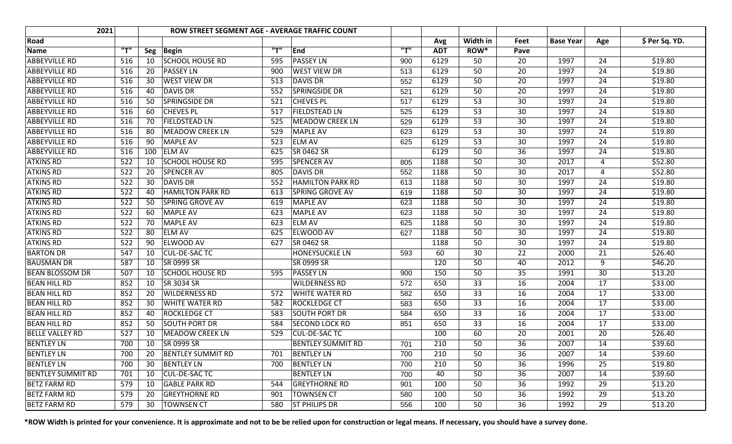| 2021                     |     |     | ROW STREET SEGMENT AGE - AVERAGE TRAFFIC COUNT |     |                          |     |            |                 |      |                  |                 |                |
|--------------------------|-----|-----|------------------------------------------------|-----|--------------------------|-----|------------|-----------------|------|------------------|-----------------|----------------|
| Road                     |     |     |                                                |     |                          |     | Avg        | Width in        | Feet | <b>Base Year</b> | Age             | \$ Per Sq. YD. |
| <b>Name</b>              | "T" | Seg | <b>Begin</b>                                   | "T" | End                      | "T" | <b>ADT</b> | ROW*            | Pave |                  |                 |                |
| <b>ABBEYVILLE RD</b>     | 516 | 10  | <b>SCHOOL HOUSE RD</b>                         | 595 | <b>PASSEY LN</b>         | 900 | 6129       | 50              | 20   | 1997             | 24              | \$19.80        |
| <b>ABBEYVILLE RD</b>     | 516 | 20  | <b>PASSEY LN</b>                               | 900 | <b>WEST VIEW DR</b>      | 513 | 6129       | 50              | 20   | 1997             | 24              | \$19.80        |
| <b>ABBEYVILLE RD</b>     | 516 | 30  | <b>WEST VIEW DR</b>                            | 513 | DAVIS DR                 | 552 | 6129       | 50              | 20   | 1997             | 24              | \$19.80        |
| <b>ABBEYVILLE RD</b>     | 516 | 40  | <b>DAVIS DR</b>                                | 552 | <b>SPRINGSIDE DR</b>     | 521 | 6129       | 50              | 20   | 1997             | 24              | \$19.80        |
| <b>ABBEYVILLE RD</b>     | 516 | 50  | SPRINGSIDE DR                                  | 521 | <b>CHEVES PL</b>         | 517 | 6129       | $\overline{53}$ | 30   | 1997             | 24              | \$19.80        |
| <b>ABBEYVILLE RD</b>     | 516 | 60  | <b>CHEVES PL</b>                               | 517 | <b>FIELDSTEAD LN</b>     | 525 | 6129       | 53              | 30   | 1997             | 24              | \$19.80        |
| <b>ABBEYVILLE RD</b>     | 516 | 70  | <b>FIELDSTEAD LN</b>                           | 525 | <b>MEADOW CREEK LN</b>   | 529 | 6129       | 53              | 30   | 1997             | 24              | \$19.80        |
| <b>ABBEYVILLE RD</b>     | 516 | 80  | <b>MEADOW CREEK LN</b>                         | 529 | MAPLE AV                 | 623 | 6129       | 53              | 30   | 1997             | 24              | \$19.80        |
| <b>ABBEYVILLE RD</b>     | 516 | 90  | <b>MAPLE AV</b>                                | 523 | <b>ELM AV</b>            | 625 | 6129       | 53              | 30   | 1997             | 24              | \$19.80        |
| <b>ABBEYVILLE RD</b>     | 516 | 100 | <b>ELM AV</b>                                  | 625 | SR 0462 SR               |     | 6129       | 50              | 36   | 1997             | 24              | \$19.80        |
| <b>ATKINS RD</b>         | 522 | 10  | <b>SCHOOL HOUSE RD</b>                         | 595 | <b>SPENCER AV</b>        | 805 | 1188       | 50              | 30   | 2017             | 4               | \$52.80        |
| <b>ATKINS RD</b>         | 522 | 20  | <b>SPENCER AV</b>                              | 805 | DAVIS DR                 | 552 | 1188       | 50              | 30   | 2017             | 4               | \$52.80        |
| <b>ATKINS RD</b>         | 522 | 30  | <b>DAVIS DR</b>                                | 552 | <b>HAMILTON PARK RD</b>  | 613 | 1188       | 50              | 30   | 1997             | 24              | \$19.80        |
| <b>ATKINS RD</b>         | 522 | 40  | <b>HAMILTON PARK RD</b>                        | 613 | <b>SPRING GROVE AV</b>   | 619 | 1188       | 50              | 30   | 1997             | 24              | \$19.80        |
| <b>ATKINS RD</b>         | 522 | 50  | <b>SPRING GROVE AV</b>                         | 619 | MAPLE AV                 | 623 | 1188       | 50              | 30   | 1997             | 24              | \$19.80        |
| <b>ATKINS RD</b>         | 522 | 60  | <b>MAPLE AV</b>                                | 623 | MAPLE AV                 | 623 | 1188       | 50              | 30   | 1997             | 24              | \$19.80        |
| <b>ATKINS RD</b>         | 522 | 70  | <b>MAPLE AV</b>                                | 623 | <b>ELM AV</b>            | 625 | 1188       | 50              | 30   | 1997             | 24              | \$19.80        |
| <b>ATKINS RD</b>         | 522 | 80  | <b>ELM AV</b>                                  | 625 | ELWOOD AV                | 627 | 1188       | 50              | 30   | 1997             | 24              | \$19.80        |
| <b>ATKINS RD</b>         | 522 | 90  | ELWOOD AV                                      | 627 | SR 0462 SR               |     | 1188       | 50              | 30   | 1997             | $\overline{24}$ | \$19.80        |
| <b>BARTON DR</b>         | 547 | 10  | <b>CUL-DE-SACTC</b>                            |     | <b>HONEYSUCKLE LN</b>    | 593 | 60         | 30              | 22   | 2000             | 21              | \$26.40        |
| <b>BAUSMAN DR</b>        | 587 | 10  | SR 0999 SR                                     |     | SR 0999 SR               |     | 120        | 50              | 40   | 2012             | 9               | \$46.20        |
| <b>BEAN BLOSSOM DR</b>   | 507 | 10  | <b>SCHOOL HOUSE RD</b>                         | 595 | <b>PASSEY LN</b>         | 900 | 150        | 50              | 35   | 1991             | 30              | \$13.20        |
| <b>BEAN HILL RD</b>      | 852 | 10  | SR 3034 SR                                     |     | <b>WILDERNESS RD</b>     | 572 | 650        | 33              | 16   | 2004             | 17              | \$33.00        |
| <b>BEAN HILL RD</b>      | 852 | 20  | <b>WILDERNESS RD</b>                           | 572 | WHITE WATER RD           | 582 | 650        | 33              | 16   | 2004             | 17              | \$33.00        |
| <b>BEAN HILL RD</b>      | 852 | 30  | <b>WHITE WATER RD</b>                          | 582 | <b>ROCKLEDGE CT</b>      | 583 | 650        | 33              | 16   | 2004             | 17              | \$33.00        |
| <b>BEAN HILL RD</b>      | 852 | 40  | <b>ROCKLEDGE CT</b>                            | 583 | SOUTH PORT DR            | 584 | 650        | 33              | 16   | 2004             | 17              | \$33.00        |
| <b>BEAN HILL RD</b>      | 852 | 50  | <b>SOUTH PORT DR</b>                           | 584 | <b>SECOND LOCK RD</b>    | 851 | 650        | 33              | 16   | 2004             | 17              | \$33.00        |
| <b>BELLE VALLEY RD</b>   | 527 | 10  | <b>MEADOW CREEK LN</b>                         | 529 | <b>CUL-DE-SACTC</b>      |     | 100        | 60              | 20   | 2001             | 20              | \$26.40        |
| <b>BENTLEY LN</b>        | 700 | 10  | SR 0999 SR                                     |     | <b>BENTLEY SUMMIT RD</b> | 701 | 210        | 50              | 36   | 2007             | 14              | \$39.60        |
| <b>BENTLEY LN</b>        | 700 | 20  | <b>BENTLEY SUMMIT RD</b>                       | 701 | <b>BENTLEY LN</b>        | 700 | 210        | 50              | 36   | 2007             | 14              | \$39.60        |
| <b>BENTLEY LN</b>        | 700 | 30  | <b>BENTLEY LN</b>                              | 700 | <b>BENTLEY LN</b>        | 700 | 210        | 50              | 36   | 1996             | 25              | \$19.80        |
| <b>BENTLEY SUMMIT RD</b> | 701 | 10  | CUL-DE-SAC TC                                  |     | <b>BENTLEY LN</b>        | 700 | 40         | 50              | 36   | 2007             | 14              | \$39.60        |
| <b>BETZ FARM RD</b>      | 579 | 10  | <b>GABLE PARK RD</b>                           | 544 | <b>GREYTHORNE RD</b>     | 901 | 100        | 50              | 36   | 1992             | 29              | \$13.20        |
| <b>BETZ FARM RD</b>      | 579 | 20  | <b>GREYTHORNE RD</b>                           | 901 | <b>TOWNSEN CT</b>        | 580 | 100        | 50              | 36   | 1992             | 29              | \$13.20        |
| <b>BETZ FARM RD</b>      | 579 | 30  | <b>TOWNSEN CT</b>                              | 580 | <b>ST PHILIPS DR</b>     | 556 | 100        | 50              | 36   | 1992             | 29              | \$13.20        |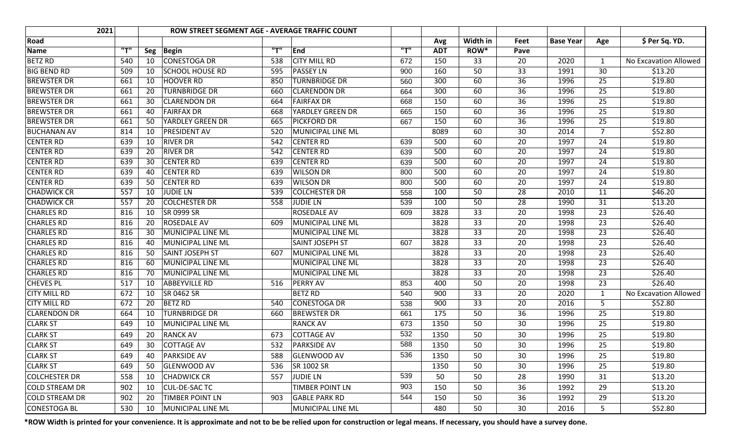| 2021                  |     |     | ROW STREET SEGMENT AGE - AVERAGE TRAFFIC COUNT |     |                        |     |            |          |      |                  |                 |                       |
|-----------------------|-----|-----|------------------------------------------------|-----|------------------------|-----|------------|----------|------|------------------|-----------------|-----------------------|
| <b>Road</b>           |     |     |                                                |     |                        |     | Avg        | Width in | Feet | <b>Base Year</b> | Age             | \$ Per Sq. YD.        |
| Name                  | "T" | Seg | <b>Begin</b>                                   | "T" | End                    | "T" | <b>ADT</b> | ROW*     | Pave |                  |                 |                       |
| <b>BETZ RD</b>        | 540 | 10  | <b>CONESTOGA DR</b>                            | 538 | <b>CITY MILL RD</b>    | 672 | 150        | 33       | 20   | 2020             | $\mathbf{1}$    | No Excavation Allowed |
| <b>BIG BEND RD</b>    | 509 | 10  | <b>SCHOOL HOUSE RD</b>                         | 595 | PASSEY LN              | 900 | 160        | 50       | 33   | 1991             | 30              | \$13.20               |
| <b>BREWSTER DR</b>    | 661 | 10  | <b>HOOVER RD</b>                               | 850 | <b>TURNBRIDGE DR</b>   | 560 | 300        | 60       | 36   | 1996             | 25              | \$19.80               |
| <b>BREWSTER DR</b>    | 661 | 20  | <b>TURNBRIDGE DR</b>                           | 660 | <b>CLARENDON DR</b>    | 664 | 300        | 60       | 36   | 1996             | 25              | \$19.80               |
| <b>BREWSTER DR</b>    | 661 | 30  | <b>CLARENDON DR</b>                            | 664 | <b>FAIRFAX DR</b>      | 668 | 150        | 60       | 36   | 1996             | $\overline{25}$ | \$19.80               |
| <b>BREWSTER DR</b>    | 661 | 40  | <b>FAIRFAX DR</b>                              | 668 | YARDLEY GREEN DR       | 665 | 150        | 60       | 36   | 1996             | 25              | \$19.80               |
| <b>BREWSTER DR</b>    | 661 | 50  | <b>YARDLEY GREEN DR</b>                        | 665 | <b>PICKFORD DR</b>     | 667 | 150        | 60       | 36   | 1996             | 25              | \$19.80               |
| <b>BUCHANAN AV</b>    | 814 | 10  | PRESIDENT AV                                   | 520 | MUNICIPAL LINE ML      |     | 8089       | 60       | 30   | 2014             | $\overline{7}$  | \$52.80               |
| <b>CENTER RD</b>      | 639 | 10  | <b>RIVER DR</b>                                | 542 | <b>CENTER RD</b>       | 639 | 500        | 60       | 20   | 1997             | 24              | \$19.80               |
| <b>CENTER RD</b>      | 639 | 20  | <b>RIVER DR</b>                                | 542 | <b>CENTER RD</b>       | 639 | 500        | 60       | 20   | 1997             | 24              | \$19.80               |
| <b>CENTER RD</b>      | 639 | 30  | <b>CENTER RD</b>                               | 639 | <b>CENTER RD</b>       | 639 | 500        | 60       | 20   | 1997             | 24              | \$19.80               |
| <b>CENTER RD</b>      | 639 | 40  | <b>CENTER RD</b>                               | 639 | <b>WILSON DR</b>       | 800 | 500        | 60       | 20   | 1997             | 24              | \$19.80               |
| <b>CENTER RD</b>      | 639 | 50  | <b>CENTER RD</b>                               | 639 | WILSON DR              | 800 | 500        | 60       | 20   | 1997             | $\overline{24}$ | \$19.80               |
| <b>CHADWICK CR</b>    | 557 | 10  | <b>JUDIE LN</b>                                | 539 | <b>COLCHESTER DR</b>   | 558 | 100        | 50       | 28   | 2010             | 11              | \$46.20               |
| <b>CHADWICK CR</b>    | 557 | 20  | <b>COLCHESTER DR</b>                           | 558 | <b>JUDIE LN</b>        | 539 | 100        | 50       | 28   | 1990             | 31              | \$13.20               |
| <b>CHARLES RD</b>     | 816 | 10  | SR 0999 SR                                     |     | <b>ROSEDALE AV</b>     | 609 | 3828       | 33       | 20   | 1998             | 23              | \$26.40               |
| <b>CHARLES RD</b>     | 816 | 20  | ROSEDALE AV                                    | 609 | MUNICIPAL LINE ML      |     | 3828       | 33       | 20   | 1998             | 23              | \$26.40               |
| <b>CHARLES RD</b>     | 816 | 30  | MUNICIPAL LINE ML                              |     | MUNICIPAL LINE ML      |     | 3828       | 33       | 20   | 1998             | $\overline{23}$ | \$26.40               |
| <b>CHARLES RD</b>     | 816 | 40  | MUNICIPAL LINE ML                              |     | <b>SAINT JOSEPH ST</b> | 607 | 3828       | 33       | 20   | 1998             | 23              | \$26.40               |
| <b>CHARLES RD</b>     | 816 | 50  | <b>SAINT JOSEPH ST</b>                         | 607 | MUNICIPAL LINE ML      |     | 3828       | 33       | 20   | 1998             | 23              | \$26.40               |
| <b>CHARLES RD</b>     | 816 | 60  | MUNICIPAL LINE ML                              |     | MUNICIPAL LINE ML      |     | 3828       | 33       | 20   | 1998             | 23              | \$26.40               |
| <b>CHARLES RD</b>     | 816 | 70  | MUNICIPAL LINE ML                              |     | MUNICIPAL LINE ML      |     | 3828       | 33       | 20   | 1998             | 23              | \$26.40               |
| <b>CHEVES PL</b>      | 517 | 10  | ABBEYVILLE RD                                  | 516 | <b>PERRY AV</b>        | 853 | 400        | 50       | 20   | 1998             | 23              | \$26.40               |
| <b>CITY MILL RD</b>   | 672 | 10  | SR 0462 SR                                     |     | <b>BETZ RD</b>         | 540 | 900        | 33       | 20   | 2020             | $\mathbf{1}$    | No Excavation Allowed |
| <b>CITY MILL RD</b>   | 672 | 20  | <b>BETZ RD</b>                                 | 540 | CONESTOGA DR           | 538 | 900        | 33       | 20   | 2016             | 5               | \$52.80               |
| <b>CLARENDON DR</b>   | 664 | 10  | <b>TURNBRIDGE DR</b>                           | 660 | <b>BREWSTER DR</b>     | 661 | 175        | 50       | 36   | 1996             | 25              | \$19.80               |
| <b>CLARK ST</b>       | 649 | 10  | MUNICIPAL LINE ML                              |     | <b>RANCK AV</b>        | 673 | 1350       | 50       | 30   | 1996             | $\overline{25}$ | \$19.80               |
| <b>CLARK ST</b>       | 649 | 20  | <b>RANCK AV</b>                                | 673 | <b>COTTAGE AV</b>      | 532 | 1350       | 50       | 30   | 1996             | 25              | \$19.80               |
| <b>CLARK ST</b>       | 649 | 30  | <b>COTTAGE AV</b>                              | 532 | <b>PARKSIDE AV</b>     | 588 | 1350       | 50       | 30   | 1996             | 25              | \$19.80               |
| <b>CLARK ST</b>       | 649 | 40  | <b>PARKSIDE AV</b>                             | 588 | GLENWOOD AV            | 536 | 1350       | 50       | 30   | 1996             | 25              | \$19.80               |
| <b>CLARK ST</b>       | 649 | 50  | <b>GLENWOOD AV</b>                             | 536 | SR 1002 SR             |     | 1350       | 50       | 30   | 1996             | 25              | \$19.80               |
| <b>COLCHESTER DR</b>  | 558 | 10  | <b>CHADWICK CR</b>                             | 557 | JUDIE LN               | 539 | 50         | 50       | 28   | 1990             | 31              | \$13.20               |
| <b>COLD STREAM DR</b> | 902 | 10  | <b>CUL-DE-SACTC</b>                            |     | TIMBER POINT LN        | 903 | 150        | 50       | 36   | 1992             | 29              | \$13.20               |
| <b>COLD STREAM DR</b> | 902 | 20  | TIMBER POINT LN                                | 903 | <b>GABLE PARK RD</b>   | 544 | 150        | 50       | 36   | 1992             | 29              | \$13.20               |
| CONESTOGA BL          | 530 | 10  | MUNICIPAL LINE ML                              |     | MUNICIPAL LINE ML      |     | 480        | 50       | 30   | 2016             | 5               | \$52.80               |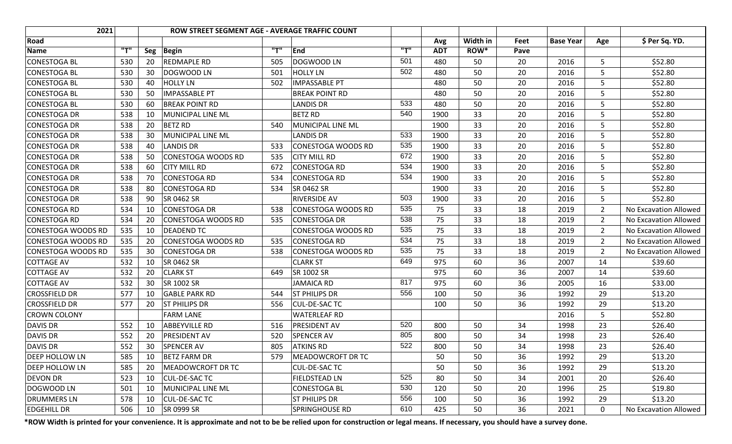| 2021                      |     |     | ROW STREET SEGMENT AGE - AVERAGE TRAFFIC COUNT |     |                           |     |            |          |      |                  |                |                       |
|---------------------------|-----|-----|------------------------------------------------|-----|---------------------------|-----|------------|----------|------|------------------|----------------|-----------------------|
| Road                      |     |     |                                                |     |                           |     | Avg        | Width in | Feet | <b>Base Year</b> | Age            | \$ Per Sq. YD.        |
| <b>Name</b>               | "T" | Seg | <b>Begin</b>                                   | "T" | End                       | "T" | <b>ADT</b> | ROW*     | Pave |                  |                |                       |
| <b>CONESTOGA BL</b>       | 530 | 20  | <b>REDMAPLE RD</b>                             | 505 | DOGWOOD LN                | 501 | 480        | 50       | 20   | 2016             | 5              | \$52.80               |
| <b>CONESTOGA BL</b>       | 530 | 30  | DOGWOOD LN                                     | 501 | <b>HOLLY LN</b>           | 502 | 480        | 50       | 20   | 2016             | 5              | \$52.80               |
| <b>CONESTOGA BL</b>       | 530 | 40  | <b>HOLLY LN</b>                                | 502 | <b>IMPASSABLE PT</b>      |     | 480        | 50       | 20   | 2016             | 5              | \$52.80               |
| <b>CONESTOGA BL</b>       | 530 | 50  | <b>IMPASSABLE PT</b>                           |     | <b>BREAK POINT RD</b>     |     | 480        | 50       | 20   | 2016             | 5              | \$52.80               |
| <b>CONESTOGA BL</b>       | 530 | 60  | <b>BREAK POINT RD</b>                          |     | <b>LANDIS DR</b>          | 533 | 480        | 50       | 20   | 2016             | 5              | \$52.80               |
| <b>CONESTOGA DR</b>       | 538 | 10  | MUNICIPAL LINE ML                              |     | <b>BETZ RD</b>            | 540 | 1900       | 33       | 20   | 2016             | 5              | \$52.80               |
| <b>CONESTOGA DR</b>       | 538 | 20  | <b>BETZ RD</b>                                 | 540 | MUNICIPAL LINE ML         |     | 1900       | 33       | 20   | 2016             | 5              | \$52.80               |
| <b>CONESTOGA DR</b>       | 538 | 30  | MUNICIPAL LINE ML                              |     | <b>LANDIS DR</b>          | 533 | 1900       | 33       | 20   | 2016             | 5              | \$52.80               |
| <b>CONESTOGA DR</b>       | 538 | 40  | <b>LANDIS DR</b>                               | 533 | <b>CONESTOGA WOODS RD</b> | 535 | 1900       | 33       | 20   | 2016             | 5              | \$52.80               |
| <b>CONESTOGA DR</b>       | 538 | 50  | <b>CONESTOGA WOODS RD</b>                      | 535 | <b>CITY MILL RD</b>       | 672 | 1900       | 33       | 20   | 2016             | 5              | \$52.80               |
| <b>CONESTOGA DR</b>       | 538 | 60  | <b>CITY MILL RD</b>                            | 672 | <b>CONESTOGA RD</b>       | 534 | 1900       | 33       | 20   | 2016             | 5              | \$52.80               |
| <b>CONESTOGA DR</b>       | 538 | 70  | <b>CONESTOGA RD</b>                            | 534 | <b>CONESTOGA RD</b>       | 534 | 1900       | 33       | 20   | 2016             | 5              | \$52.80               |
| <b>CONESTOGA DR</b>       | 538 | 80  | <b>CONESTOGA RD</b>                            | 534 | SR 0462 SR                |     | 1900       | 33       | 20   | 2016             | 5              | \$52.80               |
| <b>CONESTOGA DR</b>       | 538 | 90  | SR 0462 SR                                     |     | <b>RIVERSIDE AV</b>       | 503 | 1900       | 33       | 20   | 2016             | 5              | \$52.80               |
| <b>CONESTOGA RD</b>       | 534 | 10  | <b>CONESTOGA DR</b>                            | 538 | CONESTOGA WOODS RD        | 535 | 75         | 33       | 18   | 2019             | $\overline{2}$ | No Excavation Allowed |
| <b>CONESTOGA RD</b>       | 534 | 20  | <b>CONESTOGA WOODS RD</b>                      | 535 | CONESTOGA DR              | 538 | 75         | 33       | 18   | 2019             | $\overline{2}$ | No Excavation Allowed |
| <b>CONESTOGA WOODS RD</b> | 535 | 10  | <b>DEADEND TC</b>                              |     | <b>CONESTOGA WOODS RD</b> | 535 | 75         | 33       | 18   | 2019             | $\overline{2}$ | No Excavation Allowed |
| <b>CONESTOGA WOODS RD</b> | 535 | 20  | <b>CONESTOGA WOODS RD</b>                      | 535 | <b>CONESTOGA RD</b>       | 534 | 75         | 33       | 18   | 2019             | $\overline{2}$ | No Excavation Allowed |
| <b>CONESTOGA WOODS RD</b> | 535 | 30  | <b>CONESTOGA DR</b>                            | 538 | <b>CONESTOGA WOODS RD</b> | 535 | 75         | 33       | 18   | 2019             | $\overline{2}$ | No Excavation Allowed |
| <b>COTTAGE AV</b>         | 532 | 10  | SR 0462 SR                                     |     | <b>CLARK ST</b>           | 649 | 975        | 60       | 36   | 2007             | 14             | \$39.60               |
| <b>COTTAGE AV</b>         | 532 | 20  | <b>CLARK ST</b>                                | 649 | SR 1002 SR                |     | 975        | 60       | 36   | 2007             | 14             | \$39.60               |
| <b>COTTAGE AV</b>         | 532 | 30  | SR 1002 SR                                     |     | <b>JAMAICA RD</b>         | 817 | 975        | 60       | 36   | 2005             | 16             | \$33.00               |
| <b>CROSSFIELD DR</b>      | 577 | 10  | <b>GABLE PARK RD</b>                           | 544 | <b>ST PHILIPS DR</b>      | 556 | 100        | 50       | 36   | 1992             | 29             | \$13.20               |
| <b>CROSSFIELD DR</b>      | 577 | 20  | <b>ST PHILIPS DR</b>                           | 556 | <b>CUL-DE-SAC TC</b>      |     | 100        | 50       | 36   | 1992             | 29             | \$13.20               |
| <b>CROWN COLONY</b>       |     |     | <b>FARM LANE</b>                               |     | <b>WATERLEAF RD</b>       |     |            |          |      | 2016             | 5              | \$52.80               |
| <b>DAVIS DR</b>           | 552 | 10  | <b>ABBEYVILLE RD</b>                           | 516 | PRESIDENT AV              | 520 | 800        | 50       | 34   | 1998             | 23             | \$26.40               |
| <b>DAVIS DR</b>           | 552 | 20  | PRESIDENT AV                                   | 520 | <b>SPENCER AV</b>         | 805 | 800        | 50       | 34   | 1998             | 23             | \$26.40               |
| <b>DAVIS DR</b>           | 552 | 30  | <b>SPENCER AV</b>                              | 805 | <b>ATKINS RD</b>          | 522 | 800        | 50       | 34   | 1998             | 23             | \$26.40               |
| <b>DEEP HOLLOW LN</b>     | 585 | 10  | <b>BETZ FARM DR</b>                            | 579 | MEADOWCROFT DR TC         |     | 50         | 50       | 36   | 1992             | 29             | \$13.20               |
| <b>DEEP HOLLOW LN</b>     | 585 | 20  | MEADOWCROFT DR TC                              |     | <b>CUL-DE-SAC TC</b>      |     | 50         | 50       | 36   | 1992             | 29             | \$13.20               |
| <b>DEVON DR</b>           | 523 | 10  | <b>CUL-DE-SAC TC</b>                           |     | <b>FIELDSTEAD LN</b>      | 525 | 80         | 50       | 34   | 2001             | 20             | \$26.40               |
| DOGWOOD LN                | 501 | 10  | MUNICIPAL LINE ML                              |     | CONESTOGA BL              | 530 | 120        | 50       | 20   | 1996             | 25             | \$19.80               |
| <b>DRUMMERS LN</b>        | 578 | 10  | CUL-DE-SAC TC                                  |     | <b>ST PHILIPS DR</b>      | 556 | 100        | 50       | 36   | 1992             | 29             | \$13.20               |
| <b>EDGEHILL DR</b>        | 506 | 10  | SR 0999 SR                                     |     | SPRINGHOUSE RD            | 610 | 425        | 50       | 36   | 2021             | 0              | No Excavation Allowed |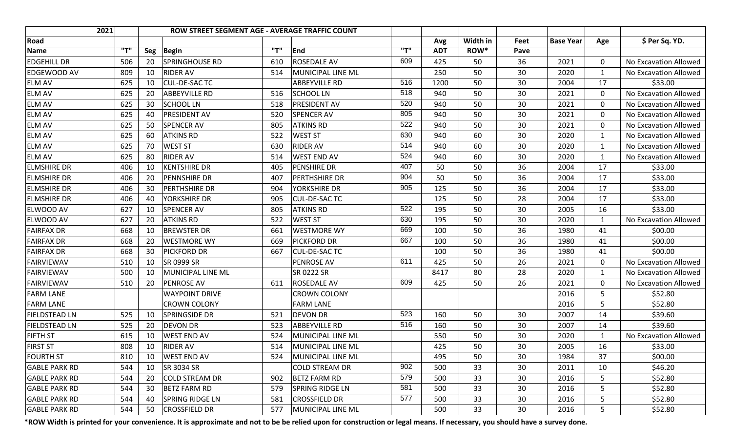| 2021                 |     |     | ROW STREET SEGMENT AGE - AVERAGE TRAFFIC COUNT |     |                        |     |            |          |      |                  |              |                       |
|----------------------|-----|-----|------------------------------------------------|-----|------------------------|-----|------------|----------|------|------------------|--------------|-----------------------|
| <b>Road</b>          |     |     |                                                |     |                        |     | Avg        | Width in | Feet | <b>Base Year</b> | Age          | \$ Per Sq. YD.        |
| Name                 | "T" | Seg | <b>Begin</b>                                   | "T" | End                    | "T" | <b>ADT</b> | ROW*     | Pave |                  |              |                       |
| <b>EDGEHILL DR</b>   | 506 | 20  | SPRINGHOUSE RD                                 | 610 | <b>ROSEDALE AV</b>     | 609 | 425        | 50       | 36   | 2021             | 0            | No Excavation Allowed |
| <b>EDGEWOOD AV</b>   | 809 | 10  | <b>RIDER AV</b>                                | 514 | MUNICIPAL LINE ML      |     | 250        | 50       | 30   | 2020             | $\mathbf{1}$ | No Excavation Allowed |
| <b>ELM AV</b>        | 625 | 10  | <b>CUL-DE-SAC TC</b>                           |     | <b>ABBEYVILLE RD</b>   | 516 | 1200       | 50       | 30   | 2004             | 17           | \$33.00               |
| <b>ELM AV</b>        | 625 | 20  | ABBEYVILLE RD                                  | 516 | <b>SCHOOL LN</b>       | 518 | 940        | 50       | 30   | 2021             | 0            | No Excavation Allowed |
| <b>ELM AV</b>        | 625 | 30  | <b>SCHOOL LN</b>                               | 518 | <b>PRESIDENT AV</b>    | 520 | 940        | 50       | 30   | 2021             | 0            | No Excavation Allowed |
| <b>ELM AV</b>        | 625 | 40  | PRESIDENT AV                                   | 520 | <b>SPENCER AV</b>      | 805 | 940        | 50       | 30   | 2021             | 0            | No Excavation Allowed |
| <b>ELM AV</b>        | 625 | 50  | <b>SPENCER AV</b>                              | 805 | <b>ATKINS RD</b>       | 522 | 940        | 50       | 30   | 2021             | 0            | No Excavation Allowed |
| <b>ELM AV</b>        | 625 | 60  | <b>ATKINS RD</b>                               | 522 | <b>WEST ST</b>         | 630 | 940        | 60       | 30   | 2020             | 1            | No Excavation Allowed |
| <b>ELM AV</b>        | 625 | 70  | <b>WEST ST</b>                                 | 630 | <b>RIDER AV</b>        | 514 | 940        | 60       | 30   | 2020             | $\mathbf{1}$ | No Excavation Allowed |
| <b>ELM AV</b>        | 625 | 80  | <b>RIDER AV</b>                                | 514 | <b>WEST END AV</b>     | 524 | 940        | 60       | 30   | 2020             | 1            | No Excavation Allowed |
| <b>ELMSHIRE DR</b>   | 406 | 10  | <b>KENTSHIRE DR</b>                            | 405 | <b>PENSHIRE DR</b>     | 407 | 50         | 50       | 36   | 2004             | 17           | \$33.00               |
| <b>ELMSHIRE DR</b>   | 406 | 20  | <b>PENNSHIRE DR</b>                            | 407 | <b>PERTHSHIRE DR</b>   | 904 | 50         | 50       | 36   | 2004             | 17           | \$33.00               |
| <b>ELMSHIRE DR</b>   | 406 | 30  | PERTHSHIRE DR                                  | 904 | YORKSHIRE DR           | 905 | 125        | 50       | 36   | 2004             | 17           | \$33.00               |
| <b>ELMSHIRE DR</b>   | 406 | 40  | YORKSHIRE DR                                   | 905 | <b>CUL-DE-SAC TC</b>   |     | 125        | 50       | 28   | 2004             | 17           | \$33.00               |
| <b>ELWOOD AV</b>     | 627 | 10  | <b>SPENCER AV</b>                              | 805 | <b>ATKINS RD</b>       | 522 | 195        | 50       | 30   | 2005             | 16           | \$33.00               |
| <b>ELWOOD AV</b>     | 627 | 20  | <b>ATKINS RD</b>                               | 522 | <b>WEST ST</b>         | 630 | 195        | 50       | 30   | 2020             | $\mathbf{1}$ | No Excavation Allowed |
| <b>FAIRFAX DR</b>    | 668 | 10  | <b>BREWSTER DR</b>                             | 661 | <b>WESTMORE WY</b>     | 669 | 100        | 50       | 36   | 1980             | 41           | \$00.00               |
| <b>FAIRFAX DR</b>    | 668 | 20  | <b>WESTMORE WY</b>                             | 669 | <b>PICKFORD DR</b>     | 667 | 100        | 50       | 36   | 1980             | 41           | \$00.00               |
| <b>FAIRFAX DR</b>    | 668 | 30  | <b>PICKFORD DR</b>                             | 667 | <b>CUL-DE-SAC TC</b>   |     | 100        | 50       | 36   | 1980             | 41           | \$00.00               |
| FAIRVIEWAV           | 510 | 10  | SR 0999 SR                                     |     | <b>PENROSE AV</b>      | 611 | 425        | 50       | 26   | 2021             | 0            | No Excavation Allowed |
| FAIRVIEWAV           | 500 | 10  | MUNICIPAL LINE ML                              |     | SR 0222 SR             |     | 8417       | 80       | 28   | 2020             | 1            | No Excavation Allowed |
| FAIRVIEWAV           | 510 | 20  | <b>PENROSE AV</b>                              | 611 | <b>ROSEDALE AV</b>     | 609 | 425        | 50       | 26   | 2021             | 0            | No Excavation Allowed |
| <b>FARM LANE</b>     |     |     | <b>WAYPOINT DRIVE</b>                          |     | <b>CROWN COLONY</b>    |     |            |          |      | 2016             | 5            | \$52.80               |
| <b>FARM LANE</b>     |     |     | <b>CROWN COLONY</b>                            |     | <b>FARM LANE</b>       |     |            |          |      | 2016             | 5            | \$52.80               |
| <b>FIELDSTEAD LN</b> | 525 | 10  | SPRINGSIDE DR                                  | 521 | <b>DEVON DR</b>        | 523 | 160        | 50       | 30   | 2007             | 14           | \$39.60               |
| <b>FIELDSTEAD LN</b> | 525 | 20  | <b>DEVON DR</b>                                | 523 | <b>ABBEYVILLE RD</b>   | 516 | 160        | 50       | 30   | 2007             | 14           | \$39.60               |
| <b>FIFTH ST</b>      | 615 | 10  | <b>WEST END AV</b>                             | 524 | MUNICIPAL LINE ML      |     | 550        | 50       | 30   | 2020             | $\mathbf 1$  | No Excavation Allowed |
| <b>FIRST ST</b>      | 808 | 10  | <b>RIDER AV</b>                                | 514 | MUNICIPAL LINE ML      |     | 425        | 50       | 30   | 2005             | 16           | \$33.00               |
| <b>FOURTH ST</b>     | 810 | 10  | <b>WEST END AV</b>                             | 524 | MUNICIPAL LINE ML      |     | 495        | 50       | 30   | 1984             | 37           | \$00.00               |
| <b>GABLE PARK RD</b> | 544 | 10  | SR 3034 SR                                     |     | <b>COLD STREAM DR</b>  | 902 | 500        | 33       | 30   | 2011             | 10           | \$46.20               |
| <b>GABLE PARK RD</b> | 544 | 20  | <b>COLD STREAM DR</b>                          | 902 | <b>BETZ FARM RD</b>    | 579 | 500        | 33       | 30   | 2016             | 5            | \$52.80               |
| <b>GABLE PARK RD</b> | 544 | 30  | <b>BETZ FARM RD</b>                            | 579 | <b>SPRING RIDGE LN</b> | 581 | 500        | 33       | 30   | 2016             | 5            | \$52.80               |
| <b>GABLE PARK RD</b> | 544 | 40  | SPRING RIDGE LN                                | 581 | <b>CROSSFIELD DR</b>   | 577 | 500        | 33       | 30   | 2016             | 5            | \$52.80               |
| <b>GABLE PARK RD</b> | 544 | 50  | <b>CROSSFIELD DR</b>                           | 577 | MUNICIPAL LINE ML      |     | 500        | 33       | 30   | 2016             | 5            | \$52.80               |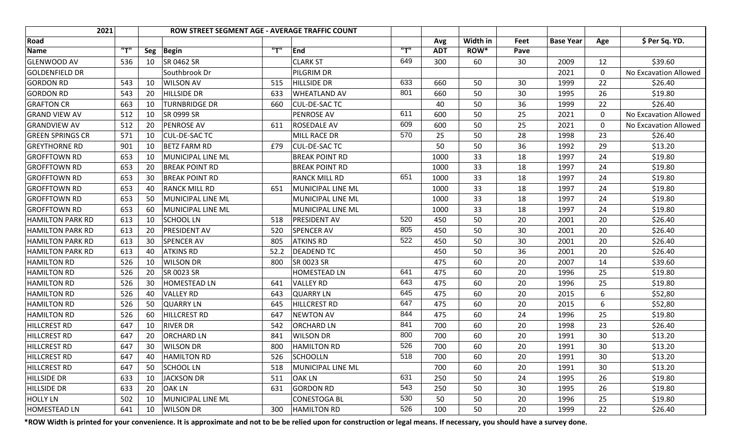| 2021                    |     |     | ROW STREET SEGMENT AGE - AVERAGE TRAFFIC COUNT |      |                       |     |            |          |      |                  |     |                       |
|-------------------------|-----|-----|------------------------------------------------|------|-----------------------|-----|------------|----------|------|------------------|-----|-----------------------|
| Road                    |     |     |                                                |      |                       |     | Avg        | Width in | Feet | <b>Base Year</b> | Age | \$ Per Sq. YD.        |
| <b>Name</b>             | "T" | Seg | <b>Begin</b>                                   | "T"  | End                   | "T" | <b>ADT</b> | ROW*     | Pave |                  |     |                       |
| <b>GLENWOOD AV</b>      | 536 | 10  | SR 0462 SR                                     |      | <b>CLARK ST</b>       | 649 | 300        | 60       | 30   | 2009             | 12  | \$39.60               |
| <b>GOLDENFIELD DR</b>   |     |     | Southbrook Dr                                  |      | PILGRIM DR            |     |            |          |      | 2021             | 0   | No Excavation Allowed |
| <b>GORDON RD</b>        | 543 | 10  | <b>WILSON AV</b>                               | 515  | <b>HILLSIDE DR</b>    | 633 | 660        | 50       | 30   | 1999             | 22  | \$26.40               |
| <b>GORDON RD</b>        | 543 | 20  | <b>HILLSIDE DR</b>                             | 633  | <b>WHEATLAND AV</b>   | 801 | 660        | 50       | 30   | 1995             | 26  | \$19.80               |
| <b>GRAFTON CR</b>       | 663 | 10  | <b>TURNBRIDGE DR</b>                           | 660  | <b>CUL-DE-SAC TC</b>  |     | 40         | 50       | 36   | 1999             | 22  | \$26.40               |
| <b>GRAND VIEW AV</b>    | 512 | 10  | SR 0999 SR                                     |      | <b>PENROSE AV</b>     | 611 | 600        | 50       | 25   | 2021             | 0   | No Excavation Allowed |
| <b>GRANDVIEW AV</b>     | 512 | 20  | PENROSE AV                                     | 611  | <b>ROSEDALE AV</b>    | 609 | 600        | 50       | 25   | 2021             | 0   | No Excavation Allowed |
| <b>GREEN SPRINGS CR</b> | 571 | 10  | <b>CUL-DE-SACTC</b>                            |      | MILL RACE DR          | 570 | 25         | 50       | 28   | 1998             | 23  | \$26.40               |
| <b>GREYTHORNE RD</b>    | 901 | 10  | <b>BETZ FARM RD</b>                            | £79  | <b>CUL-DE-SACTC</b>   |     | 50         | 50       | 36   | 1992             | 29  | \$13.20               |
| <b>GROFFTOWN RD</b>     | 653 | 10  | MUNICIPAL LINE ML                              |      | <b>BREAK POINT RD</b> |     | 1000       | 33       | 18   | 1997             | 24  | \$19.80               |
| <b>GROFFTOWN RD</b>     | 653 | 20  | <b>BREAK POINT RD</b>                          |      | <b>BREAK POINT RD</b> |     | 1000       | 33       | 18   | 1997             | 24  | \$19.80               |
| <b>GROFFTOWN RD</b>     | 653 | 30  | <b>BREAK POINT RD</b>                          |      | <b>RANCK MILL RD</b>  | 651 | 1000       | 33       | 18   | 1997             | 24  | \$19.80               |
| <b>GROFFTOWN RD</b>     | 653 | 40  | <b>RANCK MILL RD</b>                           | 651  | MUNICIPAL LINE ML     |     | 1000       | 33       | 18   | 1997             | 24  | \$19.80               |
| <b>GROFFTOWN RD</b>     | 653 | 50  | MUNICIPAL LINE ML                              |      | MUNICIPAL LINE ML     |     | 1000       | 33       | 18   | 1997             | 24  | \$19.80               |
| <b>GROFFTOWN RD</b>     | 653 | 60  | MUNICIPAL LINE ML                              |      | MUNICIPAL LINE ML     |     | 1000       | 33       | 18   | 1997             | 24  | \$19.80               |
| <b>HAMILTON PARK RD</b> | 613 | 10  | <b>SCHOOL LN</b>                               | 518  | <b>PRESIDENT AV</b>   | 520 | 450        | 50       | 20   | 2001             | 20  | \$26.40               |
| <b>HAMILTON PARK RD</b> | 613 | 20  | PRESIDENT AV                                   | 520  | <b>SPENCER AV</b>     | 805 | 450        | 50       | 30   | 2001             | 20  | \$26.40               |
| <b>HAMILTON PARK RD</b> | 613 | 30  | <b>SPENCER AV</b>                              | 805  | <b>ATKINS RD</b>      | 522 | 450        | 50       | 30   | 2001             | 20  | \$26.40               |
| <b>HAMILTON PARK RD</b> | 613 | 40  | <b>ATKINS RD</b>                               | 52.2 | <b>DEADEND TC</b>     |     | 450        | 50       | 36   | 2001             | 20  | \$26.40               |
| <b>HAMILTON RD</b>      | 526 | 10  | <b>WILSON DR</b>                               | 800  | SR 0023 SR            |     | 475        | 60       | 20   | 2007             | 14  | \$39.60               |
| <b>HAMILTON RD</b>      | 526 | 20  | SR 0023 SR                                     |      | <b>HOMESTEAD LN</b>   | 641 | 475        | 60       | 20   | 1996             | 25  | \$19.80               |
| <b>HAMILTON RD</b>      | 526 | 30  | HOMESTEAD LN                                   | 641  | VALLEY RD             | 643 | 475        | 60       | 20   | 1996             | 25  | \$19.80               |
| <b>HAMILTON RD</b>      | 526 | 40  | <b>VALLEY RD</b>                               | 643  | QUARRY LN             | 645 | 475        | 60       | 20   | 2015             | 6   | \$52,80               |
| <b>HAMILTON RD</b>      | 526 | 50  | <b>QUARRY LN</b>                               | 645  | <b>HILLCREST RD</b>   | 647 | 475        | 60       | 20   | 2015             | 6   | \$52,80               |
| <b>HAMILTON RD</b>      | 526 | 60  | <b>HILLCREST RD</b>                            | 647  | <b>NEWTON AV</b>      | 844 | 475        | 60       | 24   | 1996             | 25  | \$19.80               |
| <b>HILLCREST RD</b>     | 647 | 10  | <b>RIVER DR</b>                                | 542  | <b>ORCHARD LN</b>     | 841 | 700        | 60       | 20   | 1998             | 23  | \$26.40               |
| <b>HILLCREST RD</b>     | 647 | 20  | <b>ORCHARD LN</b>                              | 841  | <b>WILSON DR</b>      | 800 | 700        | 60       | 20   | 1991             | 30  | \$13.20               |
| <b>HILLCREST RD</b>     | 647 | 30  | <b>WILSON DR</b>                               | 800  | <b>HAMILTON RD</b>    | 526 | 700        | 60       | 20   | 1991             | 30  | \$13.20               |
| <b>HILLCREST RD</b>     | 647 | 40  | <b>HAMILTON RD</b>                             | 526  | <b>SCHOOLLN</b>       | 518 | 700        | 60       | 20   | 1991             | 30  | \$13.20               |
| <b>HILLCREST RD</b>     | 647 | 50  | <b>SCHOOL LN</b>                               | 518  | MUNICIPAL LINE ML     |     | 700        | 60       | 20   | 1991             | 30  | \$13.20               |
| <b>HILLSIDE DR</b>      | 633 | 10  | <b>JACKSON DR</b>                              | 511  | OAK LN                | 631 | 250        | 50       | 24   | 1995             | 26  | \$19.80               |
| <b>HILLSIDE DR</b>      | 633 | 20  | <b>OAK LN</b>                                  | 631  | <b>GORDON RD</b>      | 543 | 250        | 50       | 30   | 1995             | 26  | \$19.80               |
| <b>HOLLY LN</b>         | 502 | 10  | MUNICIPAL LINE ML                              |      | CONESTOGA BL          | 530 | 50         | 50       | 20   | 1996             | 25  | \$19.80               |
| HOMESTEAD LN            | 641 | 10  | <b>WILSON DR</b>                               | 300  | HAMILTON RD           | 526 | 100        | 50       | 20   | 1999             | 22  | \$26.40               |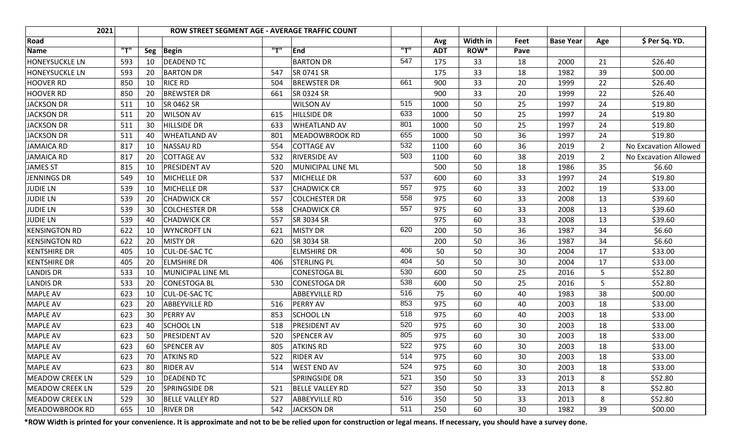| 2021                   |     |     | ROW STREET SEGMENT AGE - AVERAGE TRAFFIC COUNT |     |                      |     |            |          |      |                  |                |                       |
|------------------------|-----|-----|------------------------------------------------|-----|----------------------|-----|------------|----------|------|------------------|----------------|-----------------------|
| Road                   |     |     |                                                |     |                      |     | Avg        | Width in | Feet | <b>Base Year</b> | Age            | \$ Per Sq. YD.        |
| <b>Name</b>            | "T" | Seg | <b>Begin</b>                                   | "T" | End                  | "T" | <b>ADT</b> | ROW*     | Pave |                  |                |                       |
| <b>HONEYSUCKLE LN</b>  | 593 | 10  | <b>DEADEND TC</b>                              |     | <b>BARTON DR</b>     | 547 | 175        | 33       | 18   | 2000             | 21             | \$26.40               |
| <b>HONEYSUCKLE LN</b>  | 593 | 20  | <b>BARTON DR</b>                               | 547 | SR 0741 SR           |     | 175        | 33       | 18   | 1982             | 39             | \$00.00               |
| <b>HOOVER RD</b>       | 850 | 10  | <b>RICE RD</b>                                 | 504 | <b>BREWSTER DR</b>   | 661 | 900        | 33       | 20   | 1999             | 22             | \$26.40               |
| <b>HOOVER RD</b>       | 850 | 20  | <b>BREWSTER DR</b>                             | 661 | SR 0324 SR           |     | 900        | 33       | 20   | 1999             | 22             | \$26.40               |
| <b>JACKSON DR</b>      | 511 | 10  | SR 0462 SR                                     |     | <b>WILSON AV</b>     | 515 | 1000       | 50       | 25   | 1997             | 24             | \$19.80               |
| <b>JACKSON DR</b>      | 511 | 20  | <b>WILSON AV</b>                               | 615 | <b>HILLSIDE DR</b>   | 633 | 1000       | 50       | 25   | 1997             | 24             | \$19.80               |
| <b>JACKSON DR</b>      | 511 | 30  | <b>HILLSIDE DR</b>                             | 633 | <b>WHEATLAND AV</b>  | 801 | 1000       | 50       | 25   | 1997             | 24             | \$19.80               |
| <b>JACKSON DR</b>      | 511 | 40  | <b>WHEATLAND AV</b>                            | 801 | MEADOWBROOK RD       | 655 | 1000       | 50       | 36   | 1997             | 24             | \$19.80               |
| <b>JAMAICA RD</b>      | 817 | 10  | <b>NASSAU RD</b>                               | 554 | <b>COTTAGE AV</b>    | 532 | 1100       | 60       | 36   | 2019             | $\overline{2}$ | No Excavation Allowed |
| <b>JAMAICA RD</b>      | 817 | 20  | <b>COTTAGE AV</b>                              | 532 | <b>RIVERSIDE AV</b>  | 503 | 1100       | 60       | 38   | 2019             | $\overline{2}$ | No Excavation Allowed |
| <b>JAMES ST</b>        | 815 | 10  | PRESIDENT AV                                   | 520 | MUNICIPAL LINE ML    |     | 500        | 50       | 18   | 1986             | 35             | \$6.60                |
| <b>JENNINGS DR</b>     | 549 | 10  | <b>MICHELLE DR</b>                             | 537 | MICHELLE DR          | 537 | 600        | 60       | 33   | 1997             | 24             | \$19.80               |
| <b>JUDIE LN</b>        | 539 | 10  | MICHELLE DR                                    | 537 | <b>CHADWICK CR</b>   | 557 | 975        | 60       | 33   | 2002             | 19             | \$33.00               |
| <b>JUDIE LN</b>        | 539 | 20  | <b>CHADWICK CR</b>                             | 557 | <b>COLCHESTER DR</b> | 558 | 975        | 60       | 33   | 2008             | 13             | \$39.60               |
| <b>JUDIE LN</b>        | 539 | 30  | <b>COLCHESTER DR</b>                           | 558 | <b>CHADWICK CR</b>   | 557 | 975        | 60       | 33   | 2008             | 13             | \$39.60               |
| <b>JUDIE LN</b>        | 539 | 40  | <b>CHADWICK CR</b>                             | 557 | SR 3034 SR           |     | 975        | 60       | 33   | 2008             | 13             | \$39.60               |
| <b>KENSINGTON RD</b>   | 622 | 10  | <b>WYNCROFT LN</b>                             | 621 | MISTY DR             | 620 | 200        | 50       | 36   | 1987             | 34             | \$6.60                |
| <b>KENSINGTON RD</b>   | 622 | 20  | <b>MISTY DR</b>                                | 620 | SR 3034 SR           |     | 200        | 50       | 36   | 1987             | 34             | \$6.60                |
| <b>KENTSHIRE DR</b>    | 405 | 10  | <b>CUL-DE-SAC TC</b>                           |     | <b>ELMSHIRE DR</b>   | 406 | 50         | 50       | 30   | 2004             | 17             | \$33.00               |
| <b>KENTSHIRE DR</b>    | 405 | 20  | <b>ELMSHIRE DR</b>                             | 406 | <b>STERLING PL</b>   | 404 | 50         | 50       | 30   | 2004             | 17             | \$33.00               |
| <b>LANDIS DR</b>       | 533 | 10  | MUNICIPAL LINE ML                              |     | CONESTOGA BL         | 530 | 600        | 50       | 25   | 2016             | 5              | \$52.80               |
| <b>LANDIS DR</b>       | 533 | 20  | <b>CONESTOGA BL</b>                            | 530 | CONESTOGA DR         | 538 | 600        | 50       | 25   | 2016             | 5              | \$52.80               |
| <b>MAPLE AV</b>        | 623 | 10  | <b>CUL-DE-SAC TC</b>                           |     | <b>ABBEYVILLE RD</b> | 516 | 75         | 60       | 40   | 1983             | 38             | \$00.00               |
| <b>MAPLE AV</b>        | 623 | 20  | ABBEYVILLE RD                                  | 516 | <b>PERRY AV</b>      | 853 | 975        | 60       | 40   | 2003             | 18             | \$33.00               |
| <b>MAPLE AV</b>        | 623 | 30  | PERRY AV                                       | 853 | <b>SCHOOL LN</b>     | 518 | 975        | 60       | 40   | 2003             | 18             | \$33.00               |
| <b>MAPLE AV</b>        | 623 | 40  | <b>SCHOOL LN</b>                               | 518 | <b>PRESIDENT AV</b>  | 520 | 975        | 60       | 30   | 2003             | 18             | \$33.00               |
| <b>MAPLE AV</b>        | 623 | 50  | PRESIDENT AV                                   | 520 | <b>SPENCER AV</b>    | 805 | 975        | 60       | 30   | 2003             | 18             | \$33.00               |
| MAPLE AV               | 623 | 60  | <b>SPENCER AV</b>                              | 805 | <b>ATKINS RD</b>     | 522 | 975        | 60       | 30   | 2003             | 18             | \$33.00               |
| <b>MAPLE AV</b>        | 623 | 70  | <b>ATKINS RD</b>                               | 522 | <b>RIDER AV</b>      | 514 | 975        | 60       | 30   | 2003             | 18             | \$33.00               |
| MAPLE AV               | 623 | 80  | RIDER AV                                       | 514 | <b>WEST END AV</b>   | 524 | 975        | 60       | 30   | 2003             | 18             | \$33.00               |
| <b>MEADOW CREEK LN</b> | 529 | 10  | <b>DEADEND TC</b>                              |     | <b>SPRINGSIDE DR</b> | 521 | 350        | 50       | 33   | 2013             | 8              | \$52.80               |
| <b>MEADOW CREEK LN</b> | 529 | 20  | SPRINGSIDE DR                                  | 521 | BELLE VALLEY RD      | 527 | 350        | 50       | 33   | 2013             | 8              | \$52.80               |
| MEADOW CREEK LN        | 529 | 30  | <b>BELLE VALLEY RD</b>                         | 527 | ABBEYVILLE RD        | 516 | 350        | 50       | 33   | 2013             | 8              | \$52.80               |
| MEADOWBROOK RD         | 655 | 10  | <b>RIVER DR</b>                                | 542 | JACKSON DR           | 511 | 250        | 60       | 30   | 1982             | 39             | \$00.00               |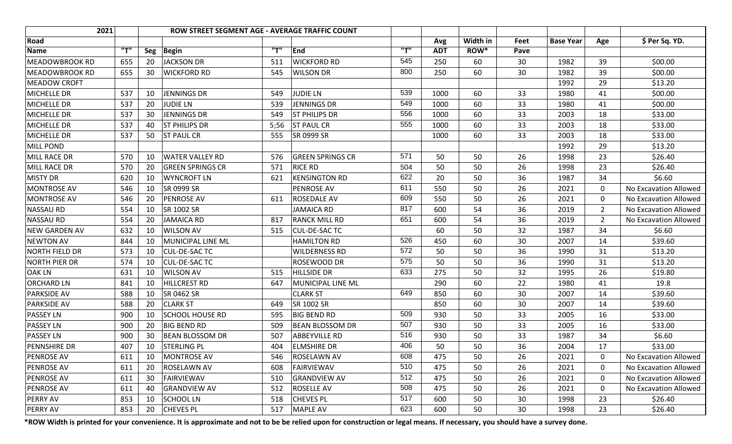| 2021                  |     |     | ROW STREET SEGMENT AGE - AVERAGE TRAFFIC COUNT |      |                         |     |            |          |      |                  |                |                       |
|-----------------------|-----|-----|------------------------------------------------|------|-------------------------|-----|------------|----------|------|------------------|----------------|-----------------------|
| Road                  |     |     |                                                |      |                         |     | Avg        | Width in | Feet | <b>Base Year</b> | Age            | \$ Per Sq. YD.        |
| <b>Name</b>           | "T" | Seg | <b>Begin</b>                                   | T    | End                     | "T" | <b>ADT</b> | ROW*     | Pave |                  |                |                       |
| <b>MEADOWBROOK RD</b> | 655 | 20  | <b>JACKSON DR</b>                              | 511  | <b>WICKFORD RD</b>      | 545 | 250        | 60       | 30   | 1982             | 39             | \$00.00               |
| <b>MEADOWBROOK RD</b> | 655 | 30  | <b>WICKFORD RD</b>                             | 545  | WILSON DR               | 800 | 250        | 60       | 30   | 1982             | 39             | \$00.00               |
| <b>MEADOW CROFT</b>   |     |     |                                                |      |                         |     |            |          |      | 1992             | 29             | \$13.20               |
| <b>MICHELLE DR</b>    | 537 | 10  | <b>JENNINGS DR</b>                             | 549  | <b>JUDIE LN</b>         | 539 | 1000       | 60       | 33   | 1980             | 41             | \$00.00               |
| <b>MICHELLE DR</b>    | 537 | 20  | <b>JUDIE LN</b>                                | 539  | <b>JENNINGS DR</b>      | 549 | 1000       | 60       | 33   | 1980             | 41             | \$00.00               |
| <b>MICHELLE DR</b>    | 537 | 30  | <b>JENNINGS DR</b>                             | 549  | <b>ST PHILIPS DR</b>    | 556 | 1000       | 60       | 33   | 2003             | 18             | \$33.00               |
| <b>MICHELLE DR</b>    | 537 | 40  | <b>ST PHILIPS DR</b>                           | 5;56 | <b>ST PAUL CR</b>       | 555 | 1000       | 60       | 33   | 2003             | 18             | \$33.00               |
| <b>MICHELLE DR</b>    | 537 | 50  | <b>ST PAUL CR</b>                              | 555  | SR 0999 SR              |     | 1000       | 60       | 33   | 2003             | 18             | \$33.00               |
| <b>MILL POND</b>      |     |     |                                                |      |                         |     |            |          |      | 1992             | 29             | \$13.20               |
| MILL RACE DR          | 570 | 10  | <b>WATER VALLEY RD</b>                         | 576  | <b>GREEN SPRINGS CR</b> | 571 | 50         | 50       | 26   | 1998             | 23             | \$26.40               |
| <b>MILL RACE DR</b>   | 570 | 20  | <b>GREEN SPRINGS CR</b>                        | 571  | <b>RICE RD</b>          | 504 | 50         | 50       | 26   | 1998             | 23             | \$26.40               |
| <b>MISTY DR</b>       | 620 | 10  | <b>WYNCROFT LN</b>                             | 621  | <b>KENSINGTON RD</b>    | 622 | 20         | 50       | 36   | 1987             | 34             | \$6.60                |
| <b>MONTROSE AV</b>    | 546 | 10  | SR 0999 SR                                     |      | <b>PENROSE AV</b>       | 611 | 550        | 50       | 26   | 2021             | 0              | No Excavation Allowed |
| <b>MONTROSE AV</b>    | 546 | 20  | <b>PENROSE AV</b>                              | 611  | <b>ROSEDALE AV</b>      | 609 | 550        | 50       | 26   | 2021             | 0              | No Excavation Allowed |
| <b>NASSAU RD</b>      | 554 | 10  | SR 1002 SR                                     |      | <b>JAMAICA RD</b>       | 817 | 600        | 54       | 36   | 2019             | $\overline{2}$ | No Excavation Allowed |
| <b>NASSAU RD</b>      | 554 | 20  | JAMAICA RD                                     | 817  | <b>RANCK MILL RD</b>    | 651 | 600        | 54       | 36   | 2019             | $\overline{2}$ | No Excavation Allowed |
| <b>NEW GARDEN AV</b>  | 632 | 10  | <b>WILSON AV</b>                               | 515  | <b>CUL-DE-SAC TC</b>    |     | 60         | 50       | 32   | 1987             | 34             | \$6.60                |
| <b>NEWTON AV</b>      | 844 | 10  | MUNICIPAL LINE ML                              |      | <b>HAMILTON RD</b>      | 526 | 450        | 60       | 30   | 2007             | 14             | \$39.60               |
| <b>NORTH FIELD DR</b> | 573 | 10  | <b>CUL-DE-SAC TC</b>                           |      | <b>WILDERNESS RD</b>    | 572 | 50         | 50       | 36   | 1990             | 31             | \$13.20               |
| <b>NORTH PIER DR</b>  | 574 | 10  | <b>CUL-DE-SAC TC</b>                           |      | <b>ROSEWOOD DR</b>      | 575 | 50         | 50       | 36   | 1990             | 31             | \$13.20               |
| <b>OAK LN</b>         | 631 | 10  | <b>WILSON AV</b>                               | 515  | <b>HILLSIDE DR</b>      | 633 | 275        | 50       | 32   | 1995             | 26             | \$19.80               |
| <b>ORCHARD LN</b>     | 841 | 10  | <b>HILLCREST RD</b>                            | 647  | MUNICIPAL LINE ML       |     | 290        | 60       | 22   | 1980             | 41             | 19.8                  |
| <b>PARKSIDE AV</b>    | 588 | 10  | SR 0462 SR                                     |      | <b>CLARK ST</b>         | 649 | 850        | 60       | 30   | 2007             | 14             | \$39.60               |
| <b>PARKSIDE AV</b>    | 588 | 20  | <b>CLARK ST</b>                                | 649  | SR 1002 SR              |     | 850        | 60       | 30   | 2007             | 14             | \$39.60               |
| <b>PASSEY LN</b>      | 900 | 10  | <b>SCHOOL HOUSE RD</b>                         | 595  | <b>BIG BEND RD</b>      | 509 | 930        | 50       | 33   | 2005             | 16             | \$33.00               |
| <b>PASSEY LN</b>      | 900 | 20  | <b>BIG BEND RD</b>                             | 509  | <b>BEAN BLOSSOM DR</b>  | 507 | 930        | 50       | 33   | 2005             | 16             | \$33.00               |
| <b>PASSEY LN</b>      | 900 | 30  | <b>BEAN BLOSSOM DR</b>                         | 507  | <b>ABBEYVILLE RD</b>    | 516 | 930        | 50       | 33   | 1987             | 34             | \$6.60                |
| <b>PENNSHIRE DR</b>   | 407 | 10  | <b>STERLING PL</b>                             | 404  | <b>ELMSHIRE DR</b>      | 406 | 50         | 50       | 36   | 2004             | 17             | \$33.00               |
| <b>PENROSE AV</b>     | 611 | 10  | <b>MONTROSE AV</b>                             | 546  | <b>ROSELAWN AV</b>      | 608 | 475        | 50       | 26   | 2021             | 0              | No Excavation Allowed |
| <b>PENROSE AV</b>     | 611 | 20  | ROSELAWN AV                                    | 608  | FAIRVIEWAV              | 510 | 475        | 50       | 26   | 2021             | $\mathbf 0$    | No Excavation Allowed |
| <b>PENROSE AV</b>     | 611 | 30  | <b>FAIRVIEWAV</b>                              | 510  | <b>GRANDVIEW AV</b>     | 512 | 475        | 50       | 26   | 2021             | 0              | No Excavation Allowed |
| <b>PENROSE AV</b>     | 611 | 40  | <b>GRANDVIEW AV</b>                            | 512  | <b>ROSELLE AV</b>       | 508 | 475        | 50       | 26   | 2021             | 0              | No Excavation Allowed |
| <b>PERRY AV</b>       | 853 | 10  | <b>SCHOOL LN</b>                               | 518  | <b>CHEVES PL</b>        | 517 | 600        | 50       | 30   | 1998             | 23             | \$26.40               |
| <b>PERRY AV</b>       | 853 | 20  | <b>CHEVES PL</b>                               | 517  | MAPLE AV                | 623 | 600        | 50       | 30   | 1998             | 23             | \$26.40               |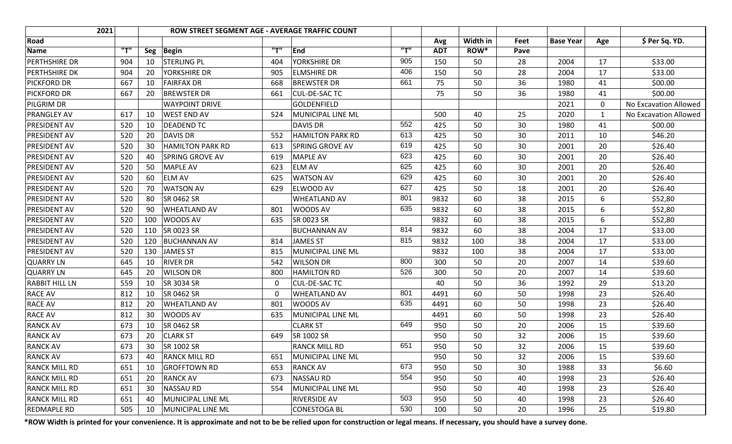| 2021                  |     |     | <b>ROW STREET SEGMENT AGE - AVERAGE TRAFFIC COUNT</b> |          |                         |     |            |          |      |                  |              |                       |
|-----------------------|-----|-----|-------------------------------------------------------|----------|-------------------------|-----|------------|----------|------|------------------|--------------|-----------------------|
| Road                  |     |     |                                                       |          |                         |     | Avg        | Width in | Feet | <b>Base Year</b> | Age          | \$ Per Sq. YD.        |
| <b>Name</b>           | "T" | Seg | <b>Begin</b>                                          | "T"      | End                     | "T" | <b>ADT</b> | ROW*     | Pave |                  |              |                       |
| <b>PERTHSHIRE DR</b>  | 904 | 10  | <b>STERLING PL</b>                                    | 404      | YORKSHIRE DR            | 905 | 150        | 50       | 28   | 2004             | 17           | \$33.00               |
| <b>PERTHSHIRE DK</b>  | 904 | 20  | YORKSHIRE DR                                          | 905      | <b>ELMSHIRE DR</b>      | 406 | 150        | 50       | 28   | 2004             | 17           | \$33.00               |
| <b>PICKFORD DR</b>    | 667 | 10  | <b>FAIRFAX DR</b>                                     | 668      | <b>BREWSTER DR</b>      | 661 | 75         | 50       | 36   | 1980             | 41           | \$00.00               |
| <b>PICKFORD DR</b>    | 667 | 20  | <b>BREWSTER DR</b>                                    | 661      | <b>CUL-DE-SACTC</b>     |     | 75         | 50       | 36   | 1980             | 41           | \$00.00               |
| PILGRIM DR            |     |     | <b>WAYPOINT DRIVE</b>                                 |          | GOLDENFIELD             |     |            |          |      | 2021             | $\mathbf 0$  | No Excavation Allowed |
| <b>PRANGLEY AV</b>    | 617 | 10  | <b>WEST END AV</b>                                    | 524      | MUNICIPAL LINE ML       |     | 500        | 40       | 25   | 2020             | $\mathbf{1}$ | No Excavation Allowed |
| <b>PRESIDENT AV</b>   | 520 | 10  | <b>DEADEND TC</b>                                     |          | <b>DAVIS DR</b>         | 552 | 425        | 50       | 30   | 1980             | 41           | \$00.00               |
| PRESIDENT AV          | 520 | 20  | <b>DAVIS DR</b>                                       | 552      | <b>HAMILTON PARK RD</b> | 613 | 425        | 50       | 30   | 2011             | 10           | \$46.20               |
| PRESIDENT AV          | 520 | 30  | <b>HAMILTON PARK RD</b>                               | 613      | SPRING GROVE AV         | 619 | 425        | 50       | 30   | 2001             | 20           | \$26.40               |
| <b>PRESIDENT AV</b>   | 520 | 40  | <b>SPRING GROVE AV</b>                                | 619      | <b>MAPLE AV</b>         | 623 | 425        | 60       | 30   | 2001             | 20           | \$26.40               |
| PRESIDENT AV          | 520 | 50  | <b>MAPLE AV</b>                                       | 623      | ELM AV                  | 625 | 425        | 60       | 30   | 2001             | 20           | \$26.40               |
| PRESIDENT AV          | 520 | 60  | <b>ELM AV</b>                                         | 625      | <b>WATSON AV</b>        | 629 | 425        | 60       | 30   | 2001             | 20           | \$26.40               |
| PRESIDENT AV          | 520 | 70  | <b>WATSON AV</b>                                      | 629      | ELWOOD AV               | 627 | 425        | 50       | 18   | 2001             | 20           | \$26.40               |
| PRESIDENT AV          | 520 | 80  | SR 0462 SR                                            |          | <b>WHEATLAND AV</b>     | 801 | 9832       | 60       | 38   | 2015             | 6            | \$52,80               |
| PRESIDENT AV          | 520 | 90  | <b>WHEATLAND AV</b>                                   | 801      | <b>WOODS AV</b>         | 635 | 9832       | 60       | 38   | 2015             | 6            | \$52,80               |
| PRESIDENT AV          | 520 | 100 | <b>WOODS AV</b>                                       | 635      | SR 0023 SR              |     | 9832       | 60       | 38   | 2015             | 6            | \$52,80               |
| PRESIDENT AV          | 520 | 110 | SR 0023 SR                                            |          | <b>BUCHANNAN AV</b>     | 814 | 9832       | 60       | 38   | 2004             | 17           | \$33.00               |
| PRESIDENT AV          | 520 | 120 | <b>BUCHANNAN AV</b>                                   | 814      | <b>JAMES ST</b>         | 815 | 9832       | 100      | 38   | 2004             | 17           | \$33.00               |
| PRESIDENT AV          | 520 | 130 | <b>JAMES ST</b>                                       | 815      | MUNICIPAL LINE ML       |     | 9832       | 100      | 38   | 2004             | 17           | \$33.00               |
| <b>QUARRY LN</b>      | 645 | 10  | <b>RIVER DR</b>                                       | 542      | <b>WILSON DR</b>        | 800 | 300        | 50       | 20   | 2007             | 14           | \$39.60               |
| <b>QUARRY LN</b>      | 645 | 20  | <b>WILSON DR</b>                                      | 800      | <b>HAMILTON RD</b>      | 526 | 300        | 50       | 20   | 2007             | 14           | \$39.60               |
| <b>RABBIT HILL LN</b> | 559 | 10  | SR 3034 SR                                            | 0        | <b>CUL-DE-SACTC</b>     |     | 40         | 50       | 36   | 1992             | 29           | \$13.20               |
| <b>RACE AV</b>        | 812 | 10  | SR 0462 SR                                            | $\Omega$ | <b>WHEATLAND AV</b>     | 801 | 4491       | 60       | 50   | 1998             | 23           | \$26.40               |
| <b>RACE AV</b>        | 812 | 20  | <b>WHEATLAND AV</b>                                   | 801      | <b>WOODS AV</b>         | 635 | 4491       | 60       | 50   | 1998             | 23           | \$26.40               |
| <b>RACE AV</b>        | 812 | 30  | WOODS AV                                              | 635      | MUNICIPAL LINE ML       |     | 4491       | 60       | 50   | 1998             | 23           | \$26.40               |
| <b>RANCK AV</b>       | 673 | 10  | SR 0462 SR                                            |          | <b>CLARK ST</b>         | 649 | 950        | 50       | 20   | 2006             | 15           | \$39.60               |
| <b>RANCK AV</b>       | 673 | 20  | <b>CLARK ST</b>                                       | 649      | SR 1002 SR              |     | 950        | 50       | 32   | 2006             | 15           | \$39.60               |
| <b>RANCK AV</b>       | 673 | 30  | SR 1002 SR                                            |          | <b>RANCK MILL RD</b>    | 651 | 950        | 50       | 32   | 2006             | 15           | \$39.60               |
| <b>RANCK AV</b>       | 673 | 40  | <b>RANCK MILL RD</b>                                  | 651      | MUNICIPAL LINE ML       |     | 950        | 50       | 32   | 2006             | 15           | \$39.60               |
| <b>RANCK MILL RD</b>  | 651 | 10  | <b>GROFFTOWN RD</b>                                   | 653      | <b>RANCK AV</b>         | 673 | 950        | 50       | 30   | 1988             | 33           | \$6.60                |
| <b>RANCK MILL RD</b>  | 651 | 20  | <b>RANCK AV</b>                                       | 673      | <b>NASSAU RD</b>        | 554 | 950        | 50       | 40   | 1998             | 23           | \$26.40               |
| <b>RANCK MILL RD</b>  | 651 | 30  | NASSAU RD                                             | 554      | MUNICIPAL LINE ML       |     | 950        | 50       | 40   | 1998             | 23           | \$26.40               |
| <b>RANCK MILL RD</b>  | 651 | 40  | MUNICIPAL LINE ML                                     |          | <b>RIVERSIDE AV</b>     | 503 | 950        | 50       | 40   | 1998             | 23           | \$26.40               |
| <b>REDMAPLE RD</b>    | 505 | 10  | MUNICIPAL LINE ML                                     |          | CONESTOGA BL            | 530 | 100        | 50       | 20   | 1996             | 25           | \$19.80               |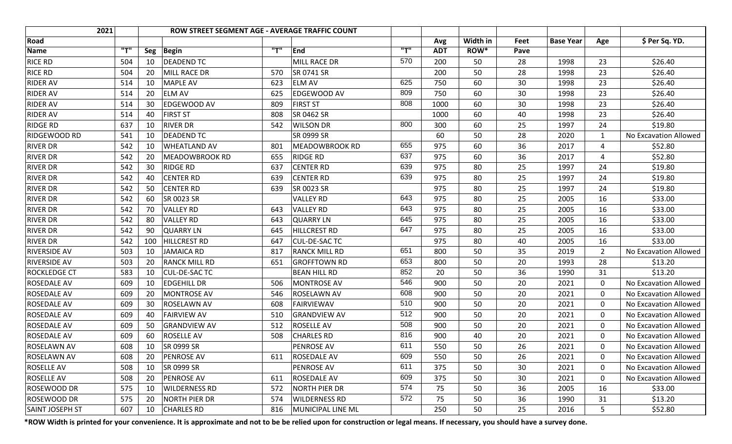| 2021                   |     |     | ROW STREET SEGMENT AGE - AVERAGE TRAFFIC COUNT |     |                      |                      |            |          |      |                  |                |                       |
|------------------------|-----|-----|------------------------------------------------|-----|----------------------|----------------------|------------|----------|------|------------------|----------------|-----------------------|
| Road                   |     |     |                                                |     |                      |                      | Avg        | Width in | Feet | <b>Base Year</b> | Age            | \$ Per Sq. YD.        |
| Name                   | T   | Seg | Begin                                          | "T" | End                  | $^{\prime\prime}$ T" | <b>ADT</b> | ROW*     | Pave |                  |                |                       |
| <b>RICE RD</b>         | 504 | 10  | <b>DEADEND TC</b>                              |     | <b>MILL RACE DR</b>  | 570                  | 200        | 50       | 28   | 1998             | 23             | \$26.40               |
| <b>RICE RD</b>         | 504 | 20  | MILL RACE DR                                   | 570 | SR 0741 SR           |                      | 200        | 50       | 28   | 1998             | 23             | \$26.40               |
| <b>RIDER AV</b>        | 514 | 10  | <b>MAPLE AV</b>                                | 623 | <b>ELM AV</b>        | 625                  | 750        | 60       | 30   | 1998             | 23             | \$26.40               |
| <b>RIDER AV</b>        | 514 | 20  | <b>ELM AV</b>                                  | 625 | EDGEWOOD AV          | 809                  | 750        | 60       | 30   | 1998             | 23             | \$26.40               |
| <b>RIDER AV</b>        | 514 | 30  | EDGEWOOD AV                                    | 809 | <b>FIRST ST</b>      | 808                  | 1000       | 60       | 30   | 1998             | 23             | \$26.40               |
| <b>RIDER AV</b>        | 514 | 40  | <b>FIRST ST</b>                                | 808 | SR 0462 SR           |                      | 1000       | 60       | 40   | 1998             | 23             | \$26.40               |
| <b>RIDGE RD</b>        | 637 | 10  | <b>RIVER DR</b>                                | 542 | <b>WILSON DR</b>     | 800                  | 300        | 60       | 25   | 1997             | 24             | \$19.80               |
| RIDGEWOOD RD           | 541 | -10 | <b>DEADEND TC</b>                              |     | SR 0999 SR           |                      | 60         | 50       | 28   | 2020             | $\mathbf{1}$   | No Excavation Allowed |
| <b>RIVER DR</b>        | 542 | 10  | <b>WHEATLAND AV</b>                            | 801 | MEADOWBROOK RD       | 655                  | 975        | 60       | 36   | 2017             | 4              | \$52.80               |
| <b>RIVER DR</b>        | 542 | 20  | MEADOWBROOK RD                                 | 655 | <b>RIDGE RD</b>      | 637                  | 975        | 60       | 36   | 2017             | 4              | \$52.80               |
| <b>RIVER DR</b>        | 542 | 30  | <b>RIDGE RD</b>                                | 637 | <b>CENTER RD</b>     | 639                  | 975        | 80       | 25   | 1997             | 24             | \$19.80               |
| <b>RIVER DR</b>        | 542 | 40  | <b>CENTER RD</b>                               | 639 | <b>CENTER RD</b>     | 639                  | 975        | 80       | 25   | 1997             | 24             | \$19.80               |
| <b>RIVER DR</b>        | 542 | 50  | <b>CENTER RD</b>                               | 639 | SR 0023 SR           |                      | 975        | 80       | 25   | 1997             | 24             | \$19.80               |
| <b>RIVER DR</b>        | 542 | 60  | SR 0023 SR                                     |     | <b>VALLEY RD</b>     | 643                  | 975        | 80       | 25   | 2005             | 16             | \$33.00               |
| <b>RIVER DR</b>        | 542 | 70  | <b>VALLEY RD</b>                               | 643 | <b>VALLEY RD</b>     | 643                  | 975        | 80       | 25   | 2005             | 16             | \$33.00               |
| <b>RIVER DR</b>        | 542 | 80  | <b>VALLEY RD</b>                               | 643 | <b>QUARRY LN</b>     | 645                  | 975        | 80       | 25   | 2005             | 16             | \$33.00               |
| <b>RIVER DR</b>        | 542 | 90  | <b>QUARRY LN</b>                               | 645 | <b>HILLCREST RD</b>  | 647                  | 975        | 80       | 25   | 2005             | 16             | \$33.00               |
| <b>RIVER DR</b>        | 542 | 100 | <b>HILLCREST RD</b>                            | 647 | CUL-DE-SAC TC        |                      | 975        | 80       | 40   | 2005             | 16             | \$33.00               |
| <b>RIVERSIDE AV</b>    | 503 | 10  | <b>JAMAICA RD</b>                              | 817 | <b>RANCK MILL RD</b> | 651                  | 800        | 50       | 35   | 2019             | $\overline{2}$ | No Excavation Allowed |
| <b>RIVERSIDE AV</b>    | 503 | 20  | <b>RANCK MILL RD</b>                           | 651 | <b>GROFFTOWN RD</b>  | 653                  | 800        | 50       | 20   | 1993             | 28             | \$13.20               |
| <b>ROCKLEDGE CT</b>    | 583 | -10 | CUL-DE-SAC TC                                  |     | <b>BEAN HILL RD</b>  | 852                  | 20         | 50       | 36   | 1990             | 31             | \$13.20               |
| ROSEDALE AV            | 609 | 10  | <b>EDGEHILL DR</b>                             | 506 | MONTROSE AV          | 546                  | 900        | 50       | 20   | 2021             | $\mathbf 0$    | No Excavation Allowed |
| <b>ROSEDALE AV</b>     | 609 | 20  | <b>MONTROSE AV</b>                             | 546 | ROSELAWN AV          | 608                  | 900        | 50       | 20   | 2021             | $\mathbf 0$    | No Excavation Allowed |
| <b>ROSEDALE AV</b>     | 609 | 30  | ROSELAWN AV                                    | 608 | <b>FAIRVIEWAV</b>    | 510                  | 900        | 50       | 20   | 2021             | $\Omega$       | No Excavation Allowed |
| <b>ROSEDALE AV</b>     | 609 | 40  | <b>FAIRVIEW AV</b>                             | 510 | <b>GRANDVIEW AV</b>  | 512                  | 900        | 50       | 20   | 2021             | 0              | No Excavation Allowed |
| <b>ROSEDALE AV</b>     | 609 | -50 | <b>GRANDVIEW AV</b>                            | 512 | <b>ROSELLE AV</b>    | 508                  | 900        | 50       | 20   | 2021             | $\mathbf 0$    | No Excavation Allowed |
| <b>ROSEDALE AV</b>     | 609 | 60  | <b>ROSELLE AV</b>                              | 508 | <b>CHARLES RD</b>    | 816                  | 900        | 40       | 20   | 2021             | $\mathbf 0$    | No Excavation Allowed |
| <b>ROSELAWN AV</b>     | 608 | 10  | SR 0999 SR                                     |     | <b>PENROSE AV</b>    | 611                  | 550        | 50       | 26   | 2021             | 0              | No Excavation Allowed |
| <b>ROSELAWN AV</b>     | 608 | 20  | PENROSE AV                                     | 611 | <b>ROSEDALE AV</b>   | 609                  | 550        | 50       | 26   | 2021             | 0              | No Excavation Allowed |
| <b>ROSELLE AV</b>      | 508 | 10  | SR 0999 SR                                     |     | <b>PENROSE AV</b>    | 611                  | 375        | 50       | 30   | 2021             | 0              | No Excavation Allowed |
| <b>ROSELLE AV</b>      | 508 | 20  | PENROSE AV                                     | 611 | <b>ROSEDALE AV</b>   | 609                  | 375        | 50       | 30   | 2021             | 0              | No Excavation Allowed |
| ROSEWOOD DR            | 575 | 10  | <b>WILDERNESS RD</b>                           | 572 | <b>NORTH PIER DR</b> | 574                  | 75         | 50       | 36   | 2005             | 16             | \$33.00               |
| ROSEWOOD DR            | 575 | 20  | <b>NORTH PIER DR</b>                           | 574 | <b>WILDERNESS RD</b> | 572                  | 75         | 50       | 36   | 1990             | 31             | \$13.20               |
| <b>SAINT JOSEPH ST</b> | 607 | 10  | <b>CHARLES RD</b>                              | 816 | MUNICIPAL LINE ML    |                      | 250        | 50       | 25   | 2016             | 5              | \$52.80               |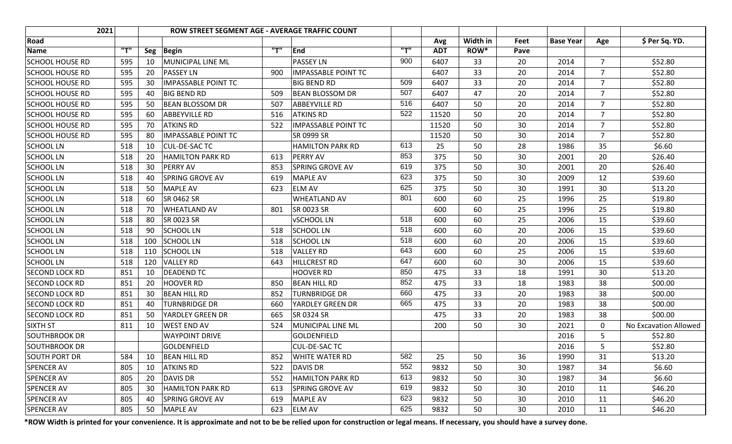| 2021                   |     |     | ROW STREET SEGMENT AGE - AVERAGE TRAFFIC COUNT |     |                            |     |            |          |      |                  |                |                       |
|------------------------|-----|-----|------------------------------------------------|-----|----------------------------|-----|------------|----------|------|------------------|----------------|-----------------------|
| Road                   |     |     |                                                |     |                            |     | Avg        | Width in | Feet | <b>Base Year</b> | Age            | \$ Per Sq. YD.        |
| <b>Name</b>            | "T" | Seg | <b>Begin</b>                                   | T'' | End                        | "T" | <b>ADT</b> | ROW*     | Pave |                  |                |                       |
| <b>SCHOOL HOUSE RD</b> | 595 | 10  | MUNICIPAL LINE ML                              |     | <b>PASSEY LN</b>           | 900 | 6407       | 33       | 20   | 2014             | $\overline{7}$ | \$52.80               |
| <b>SCHOOL HOUSE RD</b> | 595 | 20  | <b>PASSEY LN</b>                               | 900 | <b>IMPASSABLE POINT TC</b> |     | 6407       | 33       | 20   | 2014             | $\overline{7}$ | \$52.80               |
| <b>SCHOOL HOUSE RD</b> | 595 | 30  | <b>IMPASSABLE POINT TC</b>                     |     | <b>BIG BEND RD</b>         | 509 | 6407       | 33       | 20   | 2014             | $\overline{7}$ | \$52.80               |
| <b>SCHOOL HOUSE RD</b> | 595 | 40  | <b>BIG BEND RD</b>                             | 509 | <b>BEAN BLOSSOM DR</b>     | 507 | 6407       | 47       | 20   | 2014             | $\overline{7}$ | \$52.80               |
| <b>SCHOOL HOUSE RD</b> | 595 | 50  | <b>BEAN BLOSSOM DR</b>                         | 507 | <b>ABBEYVILLE RD</b>       | 516 | 6407       | 50       | 20   | 2014             | $\overline{7}$ | \$52.80               |
| <b>SCHOOL HOUSE RD</b> | 595 | 60  | <b>ABBEYVILLE RD</b>                           | 516 | <b>ATKINS RD</b>           | 522 | 11520      | 50       | 20   | 2014             | $\overline{7}$ | \$52.80               |
| <b>SCHOOL HOUSE RD</b> | 595 | 70  | <b>ATKINS RD</b>                               | 522 | <b>IMPASSABLE POINT TC</b> |     | 11520      | 50       | 30   | 2014             | $\overline{7}$ | \$52.80               |
| <b>SCHOOL HOUSE RD</b> | 595 | 80  | <b>IMPASSABLE POINT TC</b>                     |     | SR 0999 SR                 |     | 11520      | 50       | 30   | 2014             | $\overline{7}$ | \$52.80               |
| <b>SCHOOL LN</b>       | 518 | 10  | <b>CUL-DE-SAC TC</b>                           |     | <b>HAMILTON PARK RD</b>    | 613 | 25         | 50       | 28   | 1986             | 35             | \$6.60                |
| <b>SCHOOL LN</b>       | 518 | 20  | <b>HAMILTON PARK RD</b>                        | 613 | PERRY AV                   | 853 | 375        | 50       | 30   | 2001             | 20             | \$26.40               |
| <b>SCHOOL LN</b>       | 518 | 30  | PERRY AV                                       | 853 | <b>SPRING GROVE AV</b>     | 619 | 375        | 50       | 30   | 2001             | 20             | \$26.40               |
| <b>SCHOOL LN</b>       | 518 | 40  | <b>SPRING GROVE AV</b>                         | 619 | MAPLE AV                   | 623 | 375        | 50       | 30   | 2009             | 12             | \$39.60               |
| <b>SCHOOL LN</b>       | 518 | 50  | <b>MAPLE AV</b>                                | 623 | <b>ELM AV</b>              | 625 | 375        | 50       | 30   | 1991             | 30             | \$13.20               |
| <b>SCHOOL LN</b>       | 518 | 60  | SR 0462 SR                                     |     | <b>WHEATLAND AV</b>        | 801 | 600        | 60       | 25   | 1996             | 25             | \$19.80               |
| <b>SCHOOL LN</b>       | 518 | 70  | <b>WHEATLAND AV</b>                            | 801 | SR 0023 SR                 |     | 600        | 60       | 25   | 1996             | 25             | \$19.80               |
| <b>SCHOOL LN</b>       | 518 | 80  | SR 0023 SR                                     |     | <b>VSCHOOL LN</b>          | 518 | 600        | 60       | 25   | 2006             | 15             | \$39.60               |
| <b>SCHOOL LN</b>       | 518 | 90  | <b>SCHOOL LN</b>                               | 518 | <b>SCHOOL LN</b>           | 518 | 600        | 60       | 20   | 2006             | 15             | \$39.60               |
| <b>SCHOOL LN</b>       | 518 | 100 | <b>SCHOOL LN</b>                               | 518 | <b>SCHOOL LN</b>           | 518 | 600        | 60       | 20   | 2006             | 15             | \$39.60               |
| <b>SCHOOL LN</b>       | 518 | 110 | <b>SCHOOL LN</b>                               | 518 | <b>VALLEY RD</b>           | 643 | 600        | 60       | 25   | 2006             | 15             | \$39.60               |
| <b>SCHOOL LN</b>       | 518 | 120 | VALLEY RD                                      | 643 | <b>HILLCREST RD</b>        | 647 | 600        | 60       | 30   | 2006             | 15             | \$39.60               |
| <b>SECOND LOCK RD</b>  | 851 | 10  | <b>DEADEND TC</b>                              |     | <b>HOOVER RD</b>           | 850 | 475        | 33       | 18   | 1991             | 30             | \$13.20               |
| <b>SECOND LOCK RD</b>  | 851 | 20  | <b>HOOVER RD</b>                               | 850 | <b>BEAN HILL RD</b>        | 852 | 475        | 33       | 18   | 1983             | 38             | \$00.00               |
| <b>SECOND LOCK RD</b>  | 851 | 30  | <b>BEAN HILL RD</b>                            | 852 | <b>TURNBRIDGE DR</b>       | 660 | 475        | 33       | 20   | 1983             | 38             | \$00.00               |
| <b>SECOND LOCK RD</b>  | 851 | 40  | <b>TURNBRIDGE DR</b>                           | 660 | YARDLEY GREEN DR           | 665 | 475        | 33       | 20   | 1983             | 38             | \$00.00               |
| <b>SECOND LOCK RD</b>  | 851 | 50  | YARDLEY GREEN DR                               | 665 | SR 0324 SR                 |     | 475        | 33       | 20   | 1983             | 38             | \$00.00               |
| <b>SIXTH ST</b>        | 811 | 10  | <b>WEST END AV</b>                             | 524 | MUNICIPAL LINE ML          |     | 200        | 50       | 30   | 2021             | 0              | No Excavation Allowed |
| <b>SOUTHBROOK DR</b>   |     |     | <b>WAYPOINT DRIVE</b>                          |     | GOLDENFIELD                |     |            |          |      | 2016             | 5              | \$52.80               |
| SOUTHBROOK DR          |     |     | GOLDENFIELD                                    |     | <b>CUL-DE-SAC TC</b>       |     |            |          |      | 2016             | 5              | \$52.80               |
| <b>SOUTH PORT DR</b>   | 584 | 10  | <b>BEAN HILL RD</b>                            | 852 | WHITE WATER RD             | 582 | 25         | 50       | 36   | 1990             | 31             | \$13.20               |
| <b>SPENCER AV</b>      | 805 | 10  | <b>ATKINS RD</b>                               | 522 | DAVIS DR                   | 552 | 9832       | 50       | 30   | 1987             | 34             | \$6.60                |
| <b>SPENCER AV</b>      | 805 | 20  | DAVIS DR                                       | 552 | <b>HAMILTON PARK RD</b>    | 613 | 9832       | 50       | 30   | 1987             | 34             | \$6.60                |
| <b>SPENCER AV</b>      | 805 | 30  | <b>HAMILTON PARK RD</b>                        | 613 | <b>SPRING GROVE AV</b>     | 619 | 9832       | 50       | 30   | 2010             | 11             | \$46.20               |
| <b>SPENCER AV</b>      | 805 | 40  | <b>SPRING GROVE AV</b>                         | 619 | MAPLE AV                   | 623 | 9832       | 50       | 30   | 2010             | 11             | \$46.20               |
| <b>SPENCER AV</b>      | 805 | 50  | MAPLE AV                                       | 623 | <b>ELM AV</b>              | 625 | 9832       | 50       | 30   | 2010             | 11             | \$46.20               |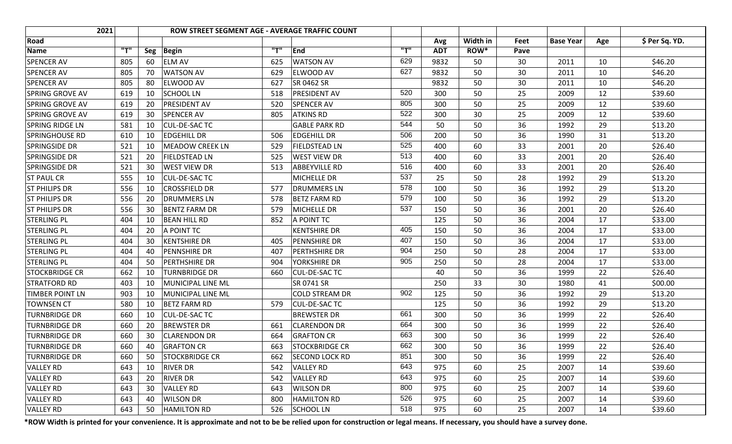| 2021                   |     |     | ROW STREET SEGMENT AGE - AVERAGE TRAFFIC COUNT |     |                       |     |            |          |      |                  |     |                |
|------------------------|-----|-----|------------------------------------------------|-----|-----------------------|-----|------------|----------|------|------------------|-----|----------------|
| <b>Road</b>            |     |     |                                                |     |                       |     | Avg        | Width in | Feet | <b>Base Year</b> | Age | \$ Per Sq. YD. |
| Name                   | T   | Seg | Begin                                          | "T" | End                   | "T" | <b>ADT</b> | ROW*     | Pave |                  |     |                |
| <b>SPENCER AV</b>      | 805 | 60  | <b>ELM AV</b>                                  | 625 | <b>WATSON AV</b>      | 629 | 9832       | 50       | 30   | 2011             | 10  | \$46.20        |
| <b>SPENCER AV</b>      | 805 | 70  | <b>WATSON AV</b>                               | 629 | <b>ELWOOD AV</b>      | 627 | 9832       | 50       | 30   | 2011             | 10  | \$46.20        |
| <b>SPENCER AV</b>      | 805 | 80  | ELWOOD AV                                      | 627 | SR 0462 SR            |     | 9832       | 50       | 30   | 2011             | 10  | \$46.20        |
| <b>SPRING GROVE AV</b> | 619 | 10  | <b>SCHOOL LN</b>                               | 518 | <b>PRESIDENT AV</b>   | 520 | 300        | 50       | 25   | 2009             | 12  | \$39.60        |
| <b>SPRING GROVE AV</b> | 619 | 20  | PRESIDENT AV                                   | 520 | <b>SPENCER AV</b>     | 805 | 300        | 50       | 25   | 2009             | 12  | \$39.60        |
| <b>SPRING GROVE AV</b> | 619 | 30  | <b>SPENCER AV</b>                              | 805 | <b>ATKINS RD</b>      | 522 | 300        | 30       | 25   | 2009             | 12  | \$39.60        |
| <b>SPRING RIDGE LN</b> | 581 | 10  | <b>CUL-DE-SAC TC</b>                           |     | <b>GABLE PARK RD</b>  | 544 | 50         | 50       | 36   | 1992             | 29  | \$13.20        |
| <b>SPRINGHOUSE RD</b>  | 610 | 10  | <b>EDGEHILL DR</b>                             | 506 | <b>EDGEHILL DR</b>    | 506 | 200        | 50       | 36   | 1990             | 31  | \$13.20        |
| <b>SPRINGSIDE DR</b>   | 521 | 10  | MEADOW CREEK LN                                | 529 | <b>FIELDSTEAD LN</b>  | 525 | 400        | 60       | 33   | 2001             | 20  | \$26.40        |
| SPRINGSIDE DR          | 521 | 20  | <b>FIELDSTEAD LN</b>                           | 525 | <b>WEST VIEW DR</b>   | 513 | 400        | 60       | 33   | 2001             | 20  | \$26.40        |
| <b>SPRINGSIDE DR</b>   | 521 | 30  | WEST VIEW DR                                   | 513 | <b>ABBEYVILLE RD</b>  | 516 | 400        | 60       | 33   | 2001             | 20  | \$26.40        |
| <b>ST PAUL CR</b>      | 555 | 10  | <b>CUL-DE-SAC TC</b>                           |     | MICHELLE DR           | 537 | 25         | 50       | 28   | 1992             | 29  | \$13.20        |
| <b>ST PHILIPS DR</b>   | 556 | 10  | <b>CROSSFIELD DR</b>                           | 577 | DRUMMERS LN           | 578 | 100        | 50       | 36   | 1992             | 29  | \$13.20        |
| <b>ST PHILIPS DR</b>   | 556 | 20  | <b>DRUMMERS LN</b>                             | 578 | <b>BETZ FARM RD</b>   | 579 | 100        | 50       | 36   | 1992             | 29  | \$13.20        |
| <b>ST PHILIPS DR</b>   | 556 | 30  | <b>BENTZ FARM DR</b>                           | 579 | MICHELLE DR           | 537 | 150        | 50       | 36   | 2001             | 20  | \$26.40        |
| <b>STERLING PL</b>     | 404 | 10  | <b>BEAN HILL RD</b>                            | 852 | A POINT TC            |     | 125        | 50       | 36   | 2004             | 17  | \$33.00        |
| <b>STERLING PL</b>     | 404 | 20  | A POINT TC                                     |     | <b>KENTSHIRE DR</b>   | 405 | 150        | 50       | 36   | 2004             | 17  | \$33.00        |
| <b>STERLING PL</b>     | 404 | 30  | <b>KENTSHIRE DR</b>                            | 405 | <b>PENNSHIRE DR</b>   | 407 | 150        | 50       | 36   | 2004             | 17  | \$33.00        |
| <b>STERLING PL</b>     | 404 | 40  | <b>PENNSHIRE DR</b>                            | 407 | <b>PERTHSHIRE DR</b>  | 904 | 250        | 50       | 28   | 2004             | 17  | \$33.00        |
| <b>STERLING PL</b>     | 404 | 50  | <b>PERTHSHIRE DR</b>                           | 904 | YORKSHIRE DR          | 905 | 250        | 50       | 28   | 2004             | 17  | \$33.00        |
| <b>STOCKBRIDGE CR</b>  | 662 | 10  | <b>TURNBRIDGE DR</b>                           | 660 | CUL-DE-SAC TC         |     | 40         | 50       | 36   | 1999             | 22  | \$26.40        |
| <b>STRATFORD RD</b>    | 403 | 10  | MUNICIPAL LINE ML                              |     | SR 0741 SR            |     | 250        | 33       | 30   | 1980             | 41  | \$00.00        |
| <b>TIMBER POINT LN</b> | 903 | 10  | MUNICIPAL LINE ML                              |     | <b>COLD STREAM DR</b> | 902 | 125        | 50       | 36   | 1992             | 29  | \$13.20        |
| <b>TOWNSEN CT</b>      | 580 | 10  | <b>BETZ FARM RD</b>                            | 579 | <b>CUL-DE-SACTC</b>   |     | 125        | 50       | 36   | 1992             | 29  | \$13.20        |
| <b>TURNBRIDGE DR</b>   | 660 | 10  | <b>CUL-DE-SAC TC</b>                           |     | <b>BREWSTER DR</b>    | 661 | 300        | 50       | 36   | 1999             | 22  | \$26.40        |
| <b>TURNBRIDGE DR</b>   | 660 | 20  | <b>BREWSTER DR</b>                             | 661 | <b>CLARENDON DR</b>   | 664 | 300        | 50       | 36   | 1999             | 22  | \$26.40        |
| <b>TURNBRIDGE DR</b>   | 660 | 30  | <b>CLARENDON DR</b>                            | 664 | <b>GRAFTON CR</b>     | 663 | 300        | 50       | 36   | 1999             | 22  | \$26.40        |
| <b>TURNBRIDGE DR</b>   | 660 | 40  | <b>GRAFTON CR</b>                              | 663 | <b>STOCKBRIDGE CR</b> | 662 | 300        | 50       | 36   | 1999             | 22  | \$26.40        |
| <b>TURNBRIDGE DR</b>   | 660 | 50  | <b>STOCKBRIDGE CR</b>                          | 662 | <b>SECOND LOCK RD</b> | 851 | 300        | 50       | 36   | 1999             | 22  | \$26.40        |
| <b>VALLEY RD</b>       | 643 | 10  | RIVER DR                                       | 542 | <b>VALLEY RD</b>      | 643 | 975        | 60       | 25   | 2007             | 14  | \$39.60        |
| <b>VALLEY RD</b>       | 643 | 20  | RIVER DR                                       | 542 | VALLEY RD             | 643 | 975        | 60       | 25   | 2007             | 14  | \$39.60        |
| <b>VALLEY RD</b>       | 643 | 30  | VALLEY RD                                      | 643 | <b>WILSON DR</b>      | 800 | 975        | 60       | 25   | 2007             | 14  | \$39.60        |
| <b>VALLEY RD</b>       | 643 | 40  | WILSON DR                                      | 800 | HAMILTON RD           | 526 | 975        | 60       | 25   | 2007             | 14  | \$39.60        |
| <b>VALLEY RD</b>       | 643 | 50  | <b>HAMILTON RD</b>                             | 526 | SCHOOL LN             | 518 | 975        | 60       | 25   | 2007             | 14  | \$39.60        |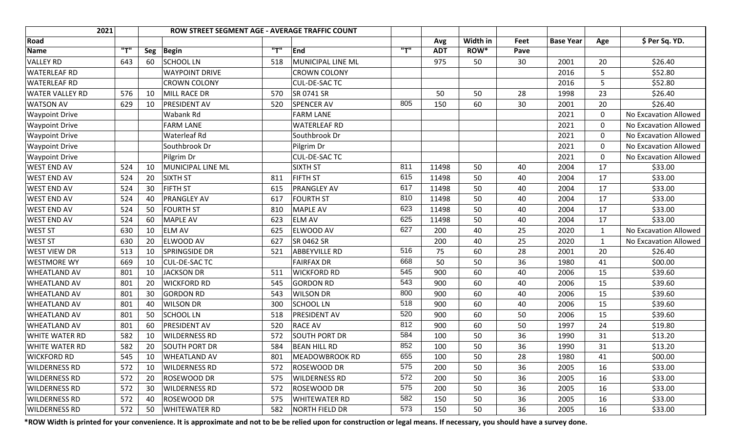| 2021                   |     |     | ROW STREET SEGMENT AGE - AVERAGE TRAFFIC COUNT |     |                      |     |            |          |      |                  |              |                       |
|------------------------|-----|-----|------------------------------------------------|-----|----------------------|-----|------------|----------|------|------------------|--------------|-----------------------|
| Road                   |     |     |                                                |     |                      |     | Avg        | Width in | Feet | <b>Base Year</b> | Age          | \$ Per Sq. YD.        |
| <b>Name</b>            | T   | Seg | <b>Begin</b>                                   | "T" | End                  | "T" | <b>ADT</b> | ROW*     | Pave |                  |              |                       |
| <b>VALLEY RD</b>       | 643 | 60  | <b>SCHOOL LN</b>                               | 518 | MUNICIPAL LINE ML    |     | 975        | 50       | 30   | 2001             | 20           | \$26.40               |
| <b>WATERLEAF RD</b>    |     |     | <b>WAYPOINT DRIVE</b>                          |     | <b>CROWN COLONY</b>  |     |            |          |      | 2016             | 5            | \$52.80               |
| <b>WATERLEAF RD</b>    |     |     | <b>CROWN COLONY</b>                            |     | <b>CUL-DE-SACTC</b>  |     |            |          |      | 2016             | 5            | \$52.80               |
| <b>WATER VALLEY RD</b> | 576 | 10  | <b>MILL RACE DR</b>                            | 570 | SR 0741 SR           |     | 50         | 50       | 28   | 1998             | 23           | \$26.40               |
| <b>WATSON AV</b>       | 629 | 10  | PRESIDENT AV                                   | 520 | <b>SPENCER AV</b>    | 805 | 150        | 60       | 30   | 2001             | 20           | \$26.40               |
| <b>Waypoint Drive</b>  |     |     | Wabank Rd                                      |     | <b>FARM LANE</b>     |     |            |          |      | 2021             | $\pmb{0}$    | No Excavation Allowed |
| <b>Waypoint Drive</b>  |     |     | <b>FARM LANE</b>                               |     | <b>WATERLEAF RD</b>  |     |            |          |      | 2021             | 0            | No Excavation Allowed |
| <b>Waypoint Drive</b>  |     |     | <b>Waterleaf Rd</b>                            |     | Southbrook Dr        |     |            |          |      | 2021             | $\mathbf 0$  | No Excavation Allowed |
| <b>Waypoint Drive</b>  |     |     | Southbrook Dr                                  |     | Pilgrim Dr           |     |            |          |      | 2021             | 0            | No Excavation Allowed |
| <b>Waypoint Drive</b>  |     |     | Pilgrim Dr                                     |     | <b>CUL-DE-SACTC</b>  |     |            |          |      | 2021             | $\mathbf 0$  | No Excavation Allowed |
| <b>WEST END AV</b>     | 524 | 10  | MUNICIPAL LINE ML                              |     | <b>SIXTH ST</b>      | 811 | 11498      | 50       | 40   | 2004             | 17           | \$33.00               |
| <b>WEST END AV</b>     | 524 | 20  | <b>SIXTH ST</b>                                | 811 | <b>FIFTH ST</b>      | 615 | 11498      | 50       | 40   | 2004             | 17           | \$33.00               |
| <b>WEST END AV</b>     | 524 | 30  | <b>FIFTH ST</b>                                | 615 | <b>PRANGLEY AV</b>   | 617 | 11498      | 50       | 40   | 2004             | 17           | \$33.00               |
| <b>WEST END AV</b>     | 524 | 40  | PRANGLEY AV                                    | 617 | <b>FOURTH ST</b>     | 810 | 11498      | 50       | 40   | 2004             | 17           | \$33.00               |
| <b>WEST END AV</b>     | 524 | 50  | <b>FOURTH ST</b>                               | 810 | <b>MAPLE AV</b>      | 623 | 11498      | 50       | 40   | 2004             | 17           | \$33.00               |
| <b>WEST END AV</b>     | 524 | 60  | <b>MAPLE AV</b>                                | 623 | ELM AV               | 625 | 11498      | 50       | 40   | 2004             | 17           | \$33.00               |
| <b>WEST ST</b>         | 630 | 10  | <b>ELM AV</b>                                  | 625 | <b>ELWOOD AV</b>     | 627 | 200        | 40       | 25   | 2020             | $\mathbf{1}$ | No Excavation Allowed |
| <b>WEST ST</b>         | 630 | 20  | ELWOOD AV                                      | 627 | SR 0462 SR           |     | 200        | 40       | 25   | 2020             | 1            | No Excavation Allowed |
| <b>WEST VIEW DR</b>    | 513 | 10  | SPRINGSIDE DR                                  | 521 | ABBEYVILLE RD        | 516 | 75         | 60       | 28   | 2001             | 20           | \$26.40               |
| <b>WESTMORE WY</b>     | 669 | 10  | <b>CUL-DE-SAC TC</b>                           |     | <b>FAIRFAX DR</b>    | 668 | 50         | 50       | 36   | 1980             | 41           | \$00.00               |
| <b>WHEATLAND AV</b>    | 801 | 10  | <b>JACKSON DR</b>                              | 511 | <b>WICKFORD RD</b>   | 545 | 900        | 60       | 40   | 2006             | 15           | \$39.60               |
| <b>WHEATLAND AV</b>    | 801 | 20  | <b>WICKFORD RD</b>                             | 545 | <b>GORDON RD</b>     | 543 | 900        | 60       | 40   | 2006             | 15           | \$39.60               |
| <b>WHEATLAND AV</b>    | 801 | 30  | <b>GORDON RD</b>                               | 543 | <b>WILSON DR</b>     | 800 | 900        | 60       | 40   | 2006             | 15           | \$39.60               |
| <b>WHEATLAND AV</b>    | 801 | 40  | <b>WILSON DR</b>                               | 300 | <b>SCHOOL LN</b>     | 518 | 900        | 60       | 40   | 2006             | 15           | \$39.60               |
| <b>WHEATLAND AV</b>    | 801 | 50  | <b>SCHOOL LN</b>                               | 518 | PRESIDENT AV         | 520 | 900        | 60       | 50   | 2006             | 15           | \$39.60               |
| <b>WHEATLAND AV</b>    | 801 | 60  | <b>PRESIDENT AV</b>                            | 520 | <b>RACE AV</b>       | 812 | 900        | 60       | 50   | 1997             | 24           | \$19.80               |
| <b>WHITE WATER RD</b>  | 582 | 10  | <b>WILDERNESS RD</b>                           | 572 | <b>SOUTH PORT DR</b> | 584 | 100        | 50       | 36   | 1990             | 31           | \$13.20               |
| <b>WHITE WATER RD</b>  | 582 | 20  | <b>SOUTH PORT DR</b>                           | 584 | <b>BEAN HILL RD</b>  | 852 | 100        | 50       | 36   | 1990             | 31           | \$13.20               |
| <b>WICKFORD RD</b>     | 545 | 10  | <b>WHEATLAND AV</b>                            | 801 | MEADOWBROOK RD       | 655 | 100        | 50       | 28   | 1980             | 41           | \$00.00               |
| <b>WILDERNESS RD</b>   | 572 | 10  | <b>WILDERNESS RD</b>                           | 572 | <b>ROSEWOOD DR</b>   | 575 | 200        | 50       | 36   | 2005             | 16           | \$33.00               |
| <b>WILDERNESS RD</b>   | 572 | 20  | ROSEWOOD DR                                    | 575 | <b>WILDERNESS RD</b> | 572 | 200        | 50       | 36   | 2005             | 16           | \$33.00               |
| <b>WILDERNESS RD</b>   | 572 | 30  | <b>WILDERNESS RD</b>                           | 572 | ROSEWOOD DR          | 575 | 200        | 50       | 36   | 2005             | 16           | \$33.00               |
| <b>WILDERNESS RD</b>   | 572 | 40  | ROSEWOOD DR                                    | 575 | WHITEWATER RD        | 582 | 150        | 50       | 36   | 2005             | 16           | \$33.00               |
| <b>WILDERNESS RD</b>   | 572 | 50  | WHITEWATER RD                                  | 582 | NORTH FIELD DR       | 573 | 150        | 50       | 36   | 2005             | 16           | \$33.00               |